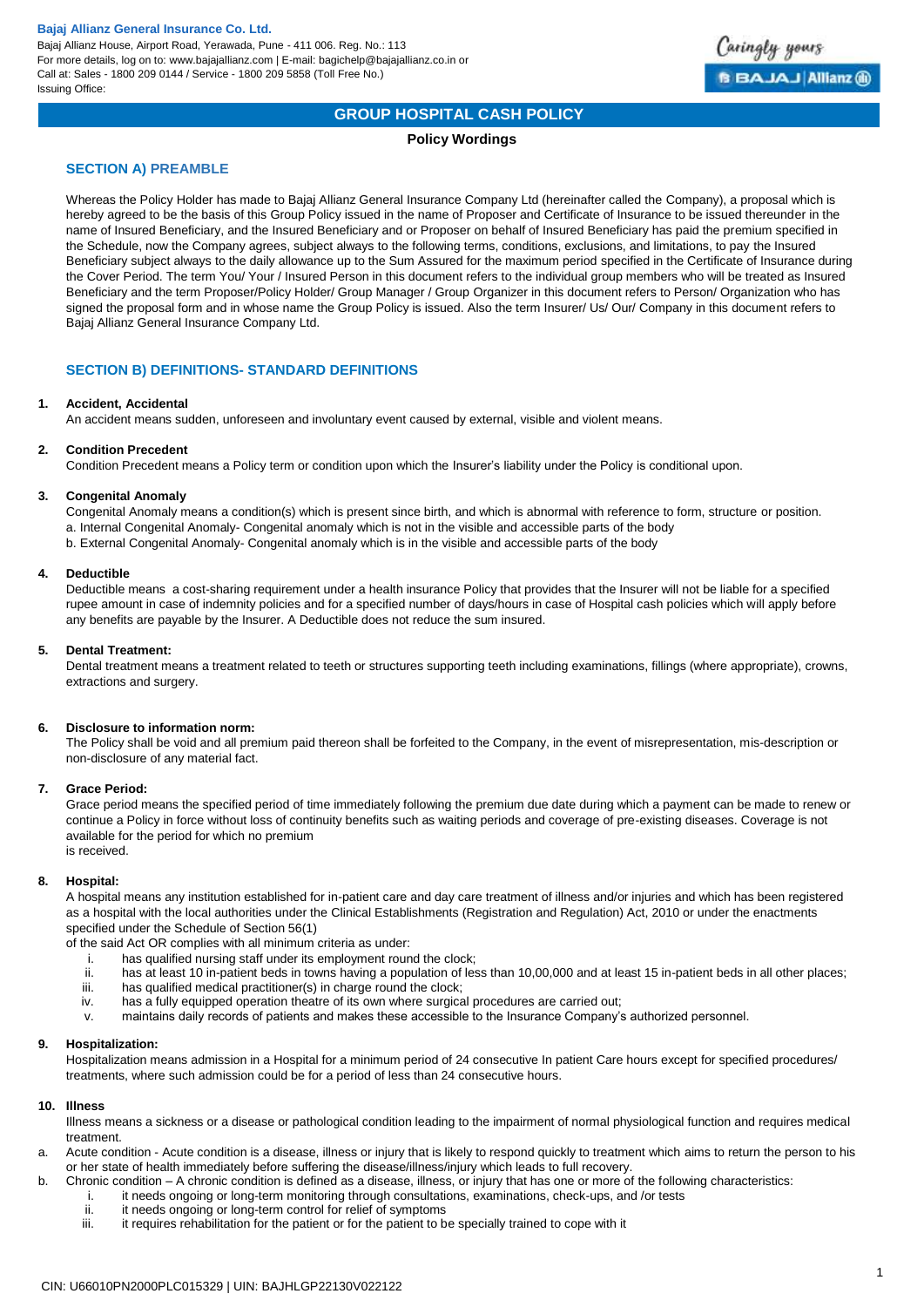

# **GROUP HOSPITAL CASH POLICY**

## **Policy Wordings**

## **SECTION A) PREAMBLE**

Whereas the Policy Holder has made to Bajaj Allianz General Insurance Company Ltd (hereinafter called the Company), a proposal which is hereby agreed to be the basis of this Group Policy issued in the name of Proposer and Certificate of Insurance to be issued thereunder in the name of Insured Beneficiary, and the Insured Beneficiary and or Proposer on behalf of Insured Beneficiary has paid the premium specified in the Schedule, now the Company agrees, subject always to the following terms, conditions, exclusions, and limitations, to pay the Insured Beneficiary subject always to the daily allowance up to the Sum Assured for the maximum period specified in the Certificate of Insurance during the Cover Period. The term You/ Your / Insured Person in this document refers to the individual group members who will be treated as Insured Beneficiary and the term Proposer/Policy Holder/ Group Manager / Group Organizer in this document refers to Person/ Organization who has signed the proposal form and in whose name the Group Policy is issued. Also the term Insurer/ Us/ Our/ Company in this document refers to Bajaj Allianz General Insurance Company Ltd.

## **SECTION B) DEFINITIONS- STANDARD DEFINITIONS**

## **1. Accident, Accidental**

An accident means sudden, unforeseen and involuntary event caused by external, visible and violent means.

## **2. Condition Precedent**

Condition Precedent means a Policy term or condition upon which the Insurer's liability under the Policy is conditional upon.

## **3. Congenital Anomaly**

Congenital Anomaly means a condition(s) which is present since birth, and which is abnormal with reference to form, structure or position. a. Internal Congenital Anomaly- Congenital anomaly which is not in the visible and accessible parts of the body b. External Congenital Anomaly- Congenital anomaly which is in the visible and accessible parts of the body

## **4. Deductible**

Deductible means a cost-sharing requirement under a health insurance Policy that provides that the Insurer will not be liable for a specified rupee amount in case of indemnity policies and for a specified number of days/hours in case of Hospital cash policies which will apply before any benefits are payable by the Insurer. A Deductible does not reduce the sum insured.

#### **5. Dental Treatment:**

Dental treatment means a treatment related to teeth or structures supporting teeth including examinations, fillings (where appropriate), crowns, extractions and surgery.

## **6. Disclosure to information norm:**

The Policy shall be void and all premium paid thereon shall be forfeited to the Company, in the event of misrepresentation, mis-description or non-disclosure of any material fact.

## **7. Grace Period:**

Grace period means the specified period of time immediately following the premium due date during which a payment can be made to renew or continue a Policy in force without loss of continuity benefits such as waiting periods and coverage of pre-existing diseases. Coverage is not available for the period for which no premium is received.

## **8. Hospital:**

A hospital means any institution established for in-patient care and day care treatment of illness and/or injuries and which has been registered as a hospital with the local authorities under the Clinical Establishments (Registration and Regulation) Act, 2010 or under the enactments specified under the Schedule of Section 56(1)

of the said Act OR complies with all minimum criteria as under:

- i. has qualified nursing staff under its employment round the clock;
- ii. has at least 10 in-patient beds in towns having a population of less than 10,00,000 and at least 15 in-patient beds in all other places; iii. has qualified medical practitioner(s) in charge round the clock;
- iv. has a fully equipped operation theatre of its own where surgical procedures are carried out;
- v. maintains daily records of patients and makes these accessible to the Insurance Company's authorized personnel.

#### **9. Hospitalization:**

Hospitalization means admission in a Hospital for a minimum period of 24 consecutive In patient Care hours except for specified procedures/ treatments, where such admission could be for a period of less than 24 consecutive hours.

#### **10. Illness**

Illness means a sickness or a disease or pathological condition leading to the impairment of normal physiological function and requires medical treatment.

- a. Acute condition Acute condition is a disease, illness or injury that is likely to respond quickly to treatment which aims to return the person to his or her state of health immediately before suffering the disease/illness/injury which leads to full recovery.
- b. Chronic condition A chronic condition is defined as a disease, illness, or injury that has one or more of the following characteristics:
	- i. it needs ongoing or long-term monitoring through consultations, examinations, check-ups, and /or tests
	- ii. it needs ongoing or long-term control for relief of symptoms<br>iii. it requires rehabilitation for the patient or for the patient to b
	- it requires rehabilitation for the patient or for the patient to be specially trained to cope with it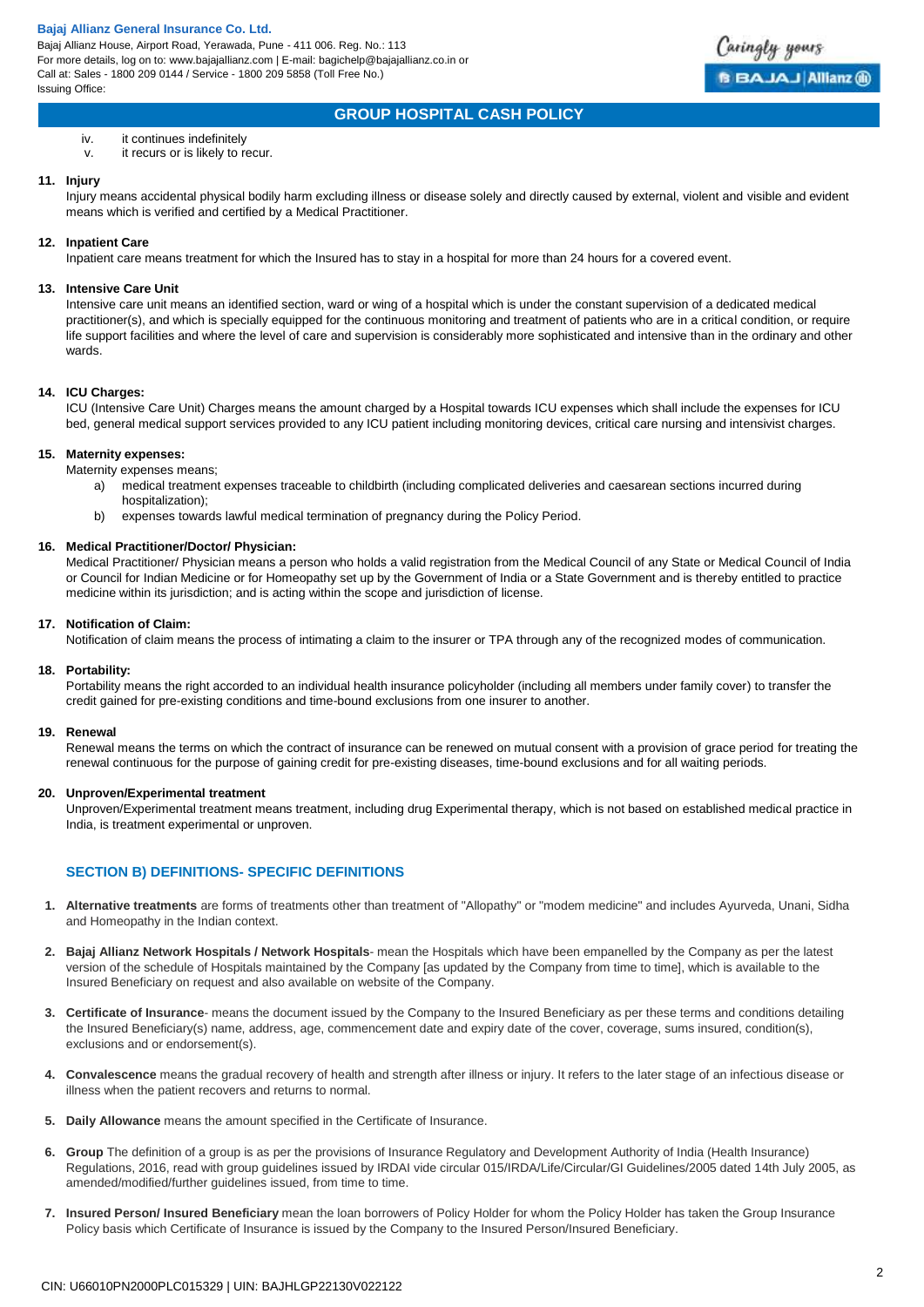

# **GROUP HOSPITAL CASH POLICY**

## iv. it continues indefinitely

v. it recurs or is likely to recur.

## **11. Injury**

Injury means accidental physical bodily harm excluding illness or disease solely and directly caused by external, violent and visible and evident means which is verified and certified by a Medical Practitioner.

## **12. Inpatient Care**

Inpatient care means treatment for which the Insured has to stay in a hospital for more than 24 hours for a covered event.

## **13. Intensive Care Unit**

Intensive care unit means an identified section, ward or wing of a hospital which is under the constant supervision of a dedicated medical practitioner(s), and which is specially equipped for the continuous monitoring and treatment of patients who are in a critical condition, or require life support facilities and where the level of care and supervision is considerably more sophisticated and intensive than in the ordinary and other wards.

## **14. ICU Charges:**

ICU (Intensive Care Unit) Charges means the amount charged by a Hospital towards ICU expenses which shall include the expenses for ICU bed, general medical support services provided to any ICU patient including monitoring devices, critical care nursing and intensivist charges.

## **15. Maternity expenses:**

Maternity expenses means;

- a) medical treatment expenses traceable to childbirth (including complicated deliveries and caesarean sections incurred during hospitalization);
- b) expenses towards lawful medical termination of pregnancy during the Policy Period.

## **16. Medical Practitioner/Doctor/ Physician:**

Medical Practitioner/ Physician means a person who holds a valid registration from the Medical Council of any State or Medical Council of India or Council for Indian Medicine or for Homeopathy set up by the Government of India or a State Government and is thereby entitled to practice medicine within its jurisdiction; and is acting within the scope and jurisdiction of license.

#### **17. Notification of Claim:**

Notification of claim means the process of intimating a claim to the insurer or TPA through any of the recognized modes of communication.

## **18. Portability:**

Portability means the right accorded to an individual health insurance policyholder (including all members under family cover) to transfer the credit gained for pre-existing conditions and time-bound exclusions from one insurer to another.

## **19. Renewal**

Renewal means the terms on which the contract of insurance can be renewed on mutual consent with a provision of grace period for treating the renewal continuous for the purpose of gaining credit for pre-existing diseases, time-bound exclusions and for all waiting periods.

## **20. Unproven/Experimental treatment**

Unproven/Experimental treatment means treatment, including drug Experimental therapy, which is not based on established medical practice in India, is treatment experimental or unproven.

## **SECTION B) DEFINITIONS- SPECIFIC DEFINITIONS**

- **1. Alternative treatments** are forms of treatments other than treatment of "Allopathy" or "modem medicine" and includes Ayurveda, Unani, Sidha and Homeopathy in the Indian context.
- **2. Bajaj Allianz Network Hospitals / Network Hospitals** mean the Hospitals which have been empanelled by the Company as per the latest version of the schedule of Hospitals maintained by the Company [as updated by the Company from time to time], which is available to the Insured Beneficiary on request and also available on website of the Company.
- **3. Certificate of Insurance** means the document issued by the Company to the Insured Beneficiary as per these terms and conditions detailing the Insured Beneficiary(s) name, address, age, commencement date and expiry date of the cover, coverage, sums insured, condition(s), exclusions and or endorsement(s).
- **4. Convalescence** means the gradual recovery of health and strength after illness or injury. It refers to the later stage of an infectious disease or illness when the patient recovers and returns to normal.
- **5. Daily Allowance** means the amount specified in the Certificate of Insurance.
- **6. Group** The definition of a group is as per the provisions of Insurance Regulatory and Development Authority of India (Health Insurance) Regulations, 2016, read with group guidelines issued by IRDAI vide circular 015/IRDA/Life/Circular/GI Guidelines/2005 dated 14th July 2005, as amended/modified/further guidelines issued, from time to time.
- **7. Insured Person/ Insured Beneficiary** mean the loan borrowers of Policy Holder for whom the Policy Holder has taken the Group Insurance Policy basis which Certificate of Insurance is issued by the Company to the Insured Person/Insured Beneficiary.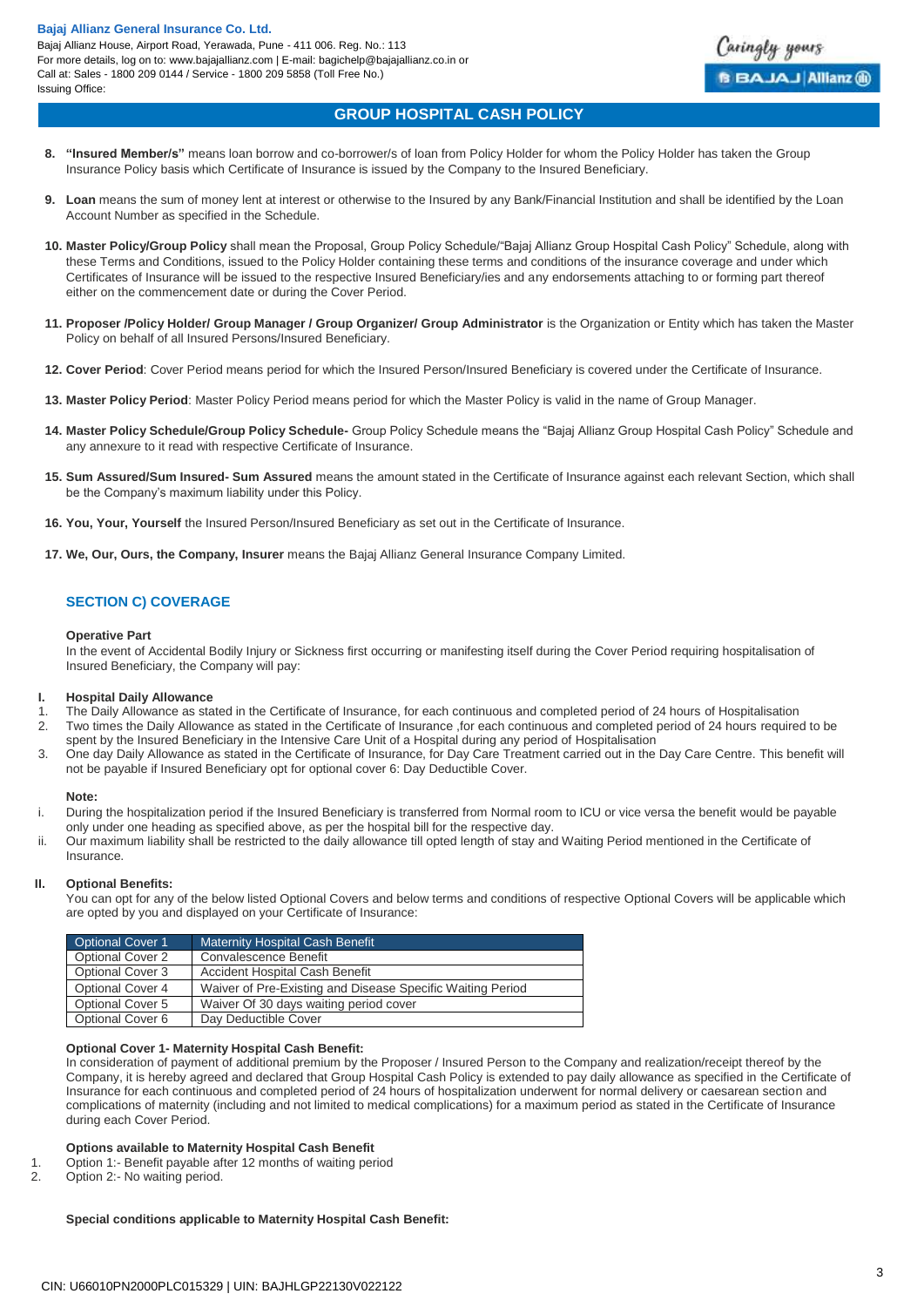Bajaj Allianz House, Airport Road, Yerawada, Pune - 411 006. Reg. No.: 113 For more details, log on to: www.bajajallianz.com | E-mail: bagichelp@bajajallianz.co.in or Call at: Sales - 1800 209 0144 / Service - 1800 209 5858 (Toll Free No.) Issuing Office:



# **GROUP HOSPITAL CASH POLICY**

- **8. "Insured Member/s"** means loan borrow and co-borrower/s of loan from Policy Holder for whom the Policy Holder has taken the Group Insurance Policy basis which Certificate of Insurance is issued by the Company to the Insured Beneficiary.
- **9.** Loan means the sum of money lent at interest or otherwise to the Insured by any Bank/Financial Institution and shall be identified by the Loan Account Number as specified in the Schedule.
- **10. Master Policy/Group Policy** shall mean the Proposal, Group Policy Schedule/"Bajaj Allianz Group Hospital Cash Policy" Schedule, along with these Terms and Conditions, issued to the Policy Holder containing these terms and conditions of the insurance coverage and under which Certificates of Insurance will be issued to the respective Insured Beneficiary/ies and any endorsements attaching to or forming part thereof either on the commencement date or during the Cover Period.
- **11. Proposer /Policy Holder/ Group Manager / Group Organizer/ Group Administrator** is the Organization or Entity which has taken the Master Policy on behalf of all Insured Persons/Insured Beneficiary.
- **12. Cover Period**: Cover Period means period for which the Insured Person/Insured Beneficiary is covered under the Certificate of Insurance.
- **13. Master Policy Period**: Master Policy Period means period for which the Master Policy is valid in the name of Group Manager.
- **14. Master Policy Schedule/Group Policy Schedule-** Group Policy Schedule means the "Bajaj Allianz Group Hospital Cash Policy" Schedule and any annexure to it read with respective Certificate of Insurance.
- **15. Sum Assured/Sum Insured- Sum Assured** means the amount stated in the Certificate of Insurance against each relevant Section, which shall be the Company's maximum liability under this Policy.
- **16. You, Your, Yourself** the Insured Person/Insured Beneficiary as set out in the Certificate of Insurance.
- **17. We, Our, Ours, the Company, Insurer** means the Bajaj Allianz General Insurance Company Limited.

# **SECTION C) COVERAGE**

#### **Operative Part**

In the event of Accidental Bodily Injury or Sickness first occurring or manifesting itself during the Cover Period requiring hospitalisation of Insured Beneficiary, the Company will pay:

## **I. Hospital Daily Allowance**

- 1. The Daily Allowance as stated in the Certificate of Insurance, for each continuous and completed period of 24 hours of Hospitalisation
- 2. Two times the Daily Allowance as stated in the Certificate of Insurance ,for each continuous and completed period of 24 hours required to be spent by the Insured Beneficiary in the Intensive Care Unit of a Hospital during any period of Hospitalisation
- 3. One day Daily Allowance as stated in the Certificate of Insurance, for Day Care Treatment carried out in the Day Care Centre. This benefit will not be payable if Insured Beneficiary opt for optional cover 6: Day Deductible Cover.

#### **Note:**

- i. During the hospitalization period if the Insured Beneficiary is transferred from Normal room to ICU or vice versa the benefit would be payable only under one heading as specified above, as per the hospital bill for the respective day.
- ii. Our maximum liability shall be restricted to the daily allowance till opted length of stay and Waiting Period mentioned in the Certificate of Insurance.

## **II. Optional Benefits:**

You can opt for any of the below listed Optional Covers and below terms and conditions of respective Optional Covers will be applicable which are opted by you and displayed on your Certificate of Insurance:

| <b>Optional Cover 1</b> | Maternity Hospital Cash Benefit                            |
|-------------------------|------------------------------------------------------------|
| Optional Cover 2        | Convalescence Benefit                                      |
| <b>Optional Cover 3</b> | Accident Hospital Cash Benefit                             |
| <b>Optional Cover 4</b> | Waiver of Pre-Existing and Disease Specific Waiting Period |
| Optional Cover 5        | Waiver Of 30 days waiting period cover                     |
| Optional Cover 6        | Day Deductible Cover                                       |

## **Optional Cover 1- Maternity Hospital Cash Benefit:**

In consideration of payment of additional premium by the Proposer / Insured Person to the Company and realization/receipt thereof by the Company, it is hereby agreed and declared that Group Hospital Cash Policy is extended to pay daily allowance as specified in the Certificate of Insurance for each continuous and completed period of 24 hours of hospitalization underwent for normal delivery or caesarean section and complications of maternity (including and not limited to medical complications) for a maximum period as stated in the Certificate of Insurance during each Cover Period.

## **Options available to Maternity Hospital Cash Benefit**

- 1. Option 1:- Benefit payable after 12 months of waiting period
- 2. Option 2:- No waiting period.

## **Special conditions applicable to Maternity Hospital Cash Benefit:**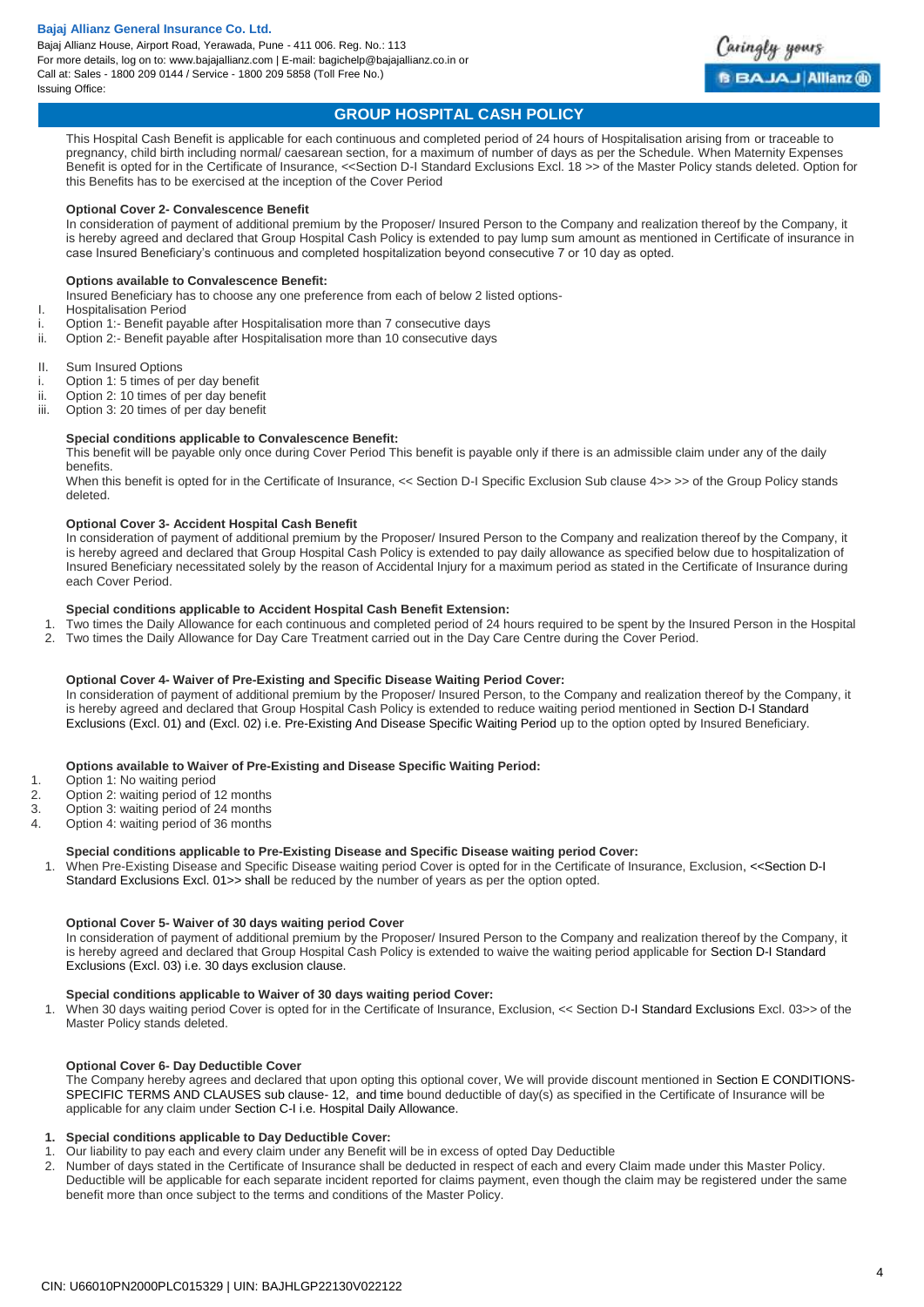Bajaj Allianz House, Airport Road, Yerawada, Pune - 411 006. Reg. No.: 113 For more details, log on to: www.bajajallianz.com | E-mail: bagichelp@bajajallianz.co.in or Call at: Sales - 1800 209 0144 / Service - 1800 209 5858 (Toll Free No.) Issuing Office:



# **GROUP HOSPITAL CASH POLICY**

This Hospital Cash Benefit is applicable for each continuous and completed period of 24 hours of Hospitalisation arising from or traceable to pregnancy, child birth including normal/ caesarean section, for a maximum of number of days as per the Schedule. When Maternity Expenses Benefit is opted for in the Certificate of Insurance, <<Section D-I Standard Exclusions Excl. 18 >> of the Master Policy stands deleted. Option for this Benefits has to be exercised at the inception of the Cover Period

### **Optional Cover 2- Convalescence Benefit**

In consideration of payment of additional premium by the Proposer/ Insured Person to the Company and realization thereof by the Company, it is hereby agreed and declared that Group Hospital Cash Policy is extended to pay lump sum amount as mentioned in Certificate of insurance in case Insured Beneficiary's continuous and completed hospitalization beyond consecutive 7 or 10 day as opted.

## **Options available to Convalescence Benefit:**

- Insured Beneficiary has to choose any one preference from each of below 2 listed options-
- I. Hospitalisation Period
- i. Option 1:- Benefit payable after Hospitalisation more than 7 consecutive days
- ii. Option 2:- Benefit payable after Hospitalisation more than 10 consecutive days
- II. Sum Insured Options
- i. Option 1: 5 times of per day benefit
- ii. Option 2: 10 times of per day benefit
- iii. Option 3: 20 times of per day benefit

## **Special conditions applicable to Convalescence Benefit:**

This benefit will be payable only once during Cover Period This benefit is payable only if there is an admissible claim under any of the daily benefits.

When this benefit is opted for in the Certificate of Insurance, << Section D-I Specific Exclusion Sub clause 4>> >> of the Group Policy stands deleted.

## **Optional Cover 3- Accident Hospital Cash Benefit**

In consideration of payment of additional premium by the Proposer/ Insured Person to the Company and realization thereof by the Company, it is hereby agreed and declared that Group Hospital Cash Policy is extended to pay daily allowance as specified below due to hospitalization of Insured Beneficiary necessitated solely by the reason of Accidental Injury for a maximum period as stated in the Certificate of Insurance during each Cover Period.

### **Special conditions applicable to Accident Hospital Cash Benefit Extension:**

- 1. Two times the Daily Allowance for each continuous and completed period of 24 hours required to be spent by the Insured Person in the Hospital
- 2. Two times the Daily Allowance for Day Care Treatment carried out in the Day Care Centre during the Cover Period.

### **Optional Cover 4- Waiver of Pre-Existing and Specific Disease Waiting Period Cover:**

In consideration of payment of additional premium by the Proposer/ Insured Person, to the Company and realization thereof by the Company, it is hereby agreed and declared that Group Hospital Cash Policy is extended to reduce waiting period mentioned in Section D-I Standard Exclusions (Excl. 01) and (Excl. 02) i.e. Pre-Existing And Disease Specific Waiting Period up to the option opted by Insured Beneficiary.

#### **Options available to Waiver of Pre-Existing and Disease Specific Waiting Period:**

- 1. Option 1: No waiting period
- 2. Option 2: waiting period of 12 months
- 3. Option 3: waiting period of 24 months
- 4. Option 4: waiting period of 36 months

#### **Special conditions applicable to Pre-Existing Disease and Specific Disease waiting period Cover:**

1. When Pre-Existing Disease and Specific Disease waiting period Cover is opted for in the Certificate of Insurance, Exclusion, <<Section D-I Standard Exclusions Excl. 01>> shall be reduced by the number of years as per the option opted.

### **Optional Cover 5- Waiver of 30 days waiting period Cover**

In consideration of payment of additional premium by the Proposer/ Insured Person to the Company and realization thereof by the Company, it is hereby agreed and declared that Group Hospital Cash Policy is extended to waive the waiting period applicable for Section D-I Standard Exclusions (Excl. 03) i.e. 30 days exclusion clause.

### **Special conditions applicable to Waiver of 30 days waiting period Cover:**

1. When 30 days waiting period Cover is opted for in the Certificate of Insurance, Exclusion, << Section D-I Standard Exclusions Excl. 03>> of the Master Policy stands deleted.

## **Optional Cover 6- Day Deductible Cover**

The Company hereby agrees and declared that upon opting this optional cover, We will provide discount mentioned in Section E CONDITIONS-SPECIFIC TERMS AND CLAUSES sub clause- 12, and time bound deductible of day(s) as specified in the Certificate of Insurance will be applicable for any claim under Section C-I i.e. Hospital Daily Allowance.

#### **1. Special conditions applicable to Day Deductible Cover:**

- 1. Our liability to pay each and every claim under any Benefit will be in excess of opted Day Deductible
- 2. Number of days stated in the Certificate of Insurance shall be deducted in respect of each and every Claim made under this Master Policy. Deductible will be applicable for each separate incident reported for claims payment, even though the claim may be registered under the same benefit more than once subject to the terms and conditions of the Master Policy.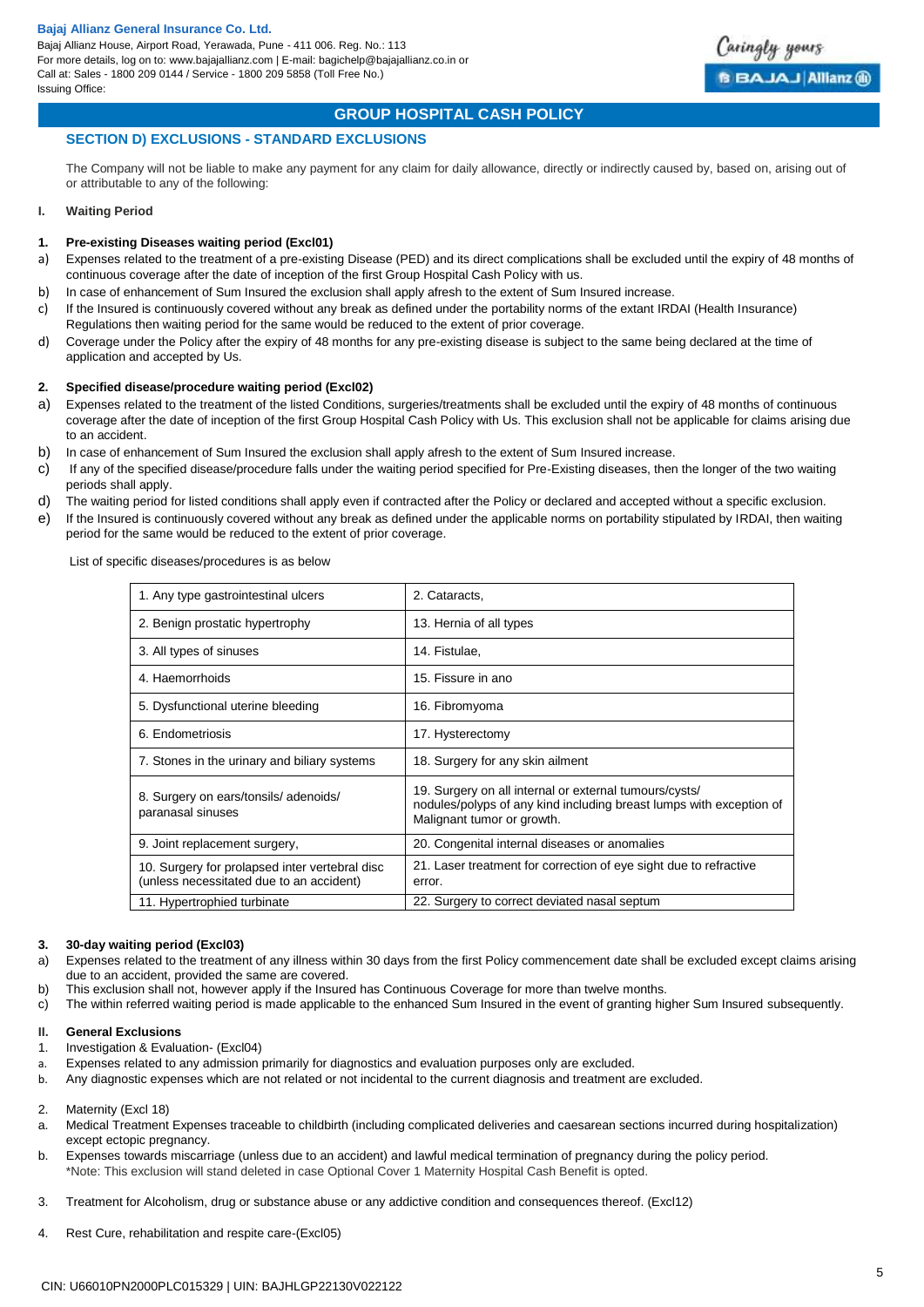# **GROUP HOSPITAL CASH POLICY**

## **SECTION D) EXCLUSIONS - STANDARD EXCLUSIONS**

The Company will not be liable to make any payment for any claim for daily allowance, directly or indirectly caused by, based on, arising out of or attributable to any of the following:

## **I. Waiting Period**

## **1. Pre-existing Diseases waiting period (Excl01)**

- a) Expenses related to the treatment of a pre-existing Disease (PED) and its direct complications shall be excluded until the expiry of 48 months of continuous coverage after the date of inception of the first Group Hospital Cash Policy with us.
- b) In case of enhancement of Sum Insured the exclusion shall apply afresh to the extent of Sum Insured increase.
- c) If the Insured is continuously covered without any break as defined under the portability norms of the extant IRDAI (Health Insurance) Regulations then waiting period for the same would be reduced to the extent of prior coverage.
- d) Coverage under the Policy after the expiry of 48 months for any pre-existing disease is subject to the same being declared at the time of application and accepted by Us.

## **2. Specified disease/procedure waiting period (Excl02)**

- a) Expenses related to the treatment of the listed Conditions, surgeries/treatments shall be excluded until the expiry of 48 months of continuous coverage after the date of inception of the first Group Hospital Cash Policy with Us. This exclusion shall not be applicable for claims arising due to an accident.
- b) In case of enhancement of Sum Insured the exclusion shall apply afresh to the extent of Sum Insured increase.
- c) If any of the specified disease/procedure falls under the waiting period specified for Pre-Existing diseases, then the longer of the two waiting periods shall apply.
- d) The waiting period for listed conditions shall apply even if contracted after the Policy or declared and accepted without a specific exclusion.
- e) If the Insured is continuously covered without any break as defined under the applicable norms on portability stipulated by IRDAI, then waiting period for the same would be reduced to the extent of prior coverage.

List of specific diseases/procedures is as below

| 1. Any type gastrointestinal ulcers                                                        | 2. Cataracts,                                                                                                                                               |
|--------------------------------------------------------------------------------------------|-------------------------------------------------------------------------------------------------------------------------------------------------------------|
| 2. Benign prostatic hypertrophy                                                            | 13. Hernia of all types                                                                                                                                     |
| 3. All types of sinuses                                                                    | 14. Fistulae,                                                                                                                                               |
| 4. Haemorrhoids                                                                            | 15. Fissure in ano                                                                                                                                          |
| 5. Dysfunctional uterine bleeding                                                          | 16. Fibromyoma                                                                                                                                              |
| 6. Endometriosis                                                                           | 17. Hysterectomy                                                                                                                                            |
| 7. Stones in the urinary and biliary systems                                               | 18. Surgery for any skin ailment                                                                                                                            |
| 8. Surgery on ears/tonsils/adenoids/<br>paranasal sinuses                                  | 19. Surgery on all internal or external tumours/cysts/<br>nodules/polyps of any kind including breast lumps with exception of<br>Malignant tumor or growth. |
| 9. Joint replacement surgery,                                                              | 20. Congenital internal diseases or anomalies                                                                                                               |
| 10. Surgery for prolapsed inter vertebral disc<br>(unless necessitated due to an accident) | 21. Laser treatment for correction of eye sight due to refractive<br>error.                                                                                 |
| 11. Hypertrophied turbinate                                                                | 22. Surgery to correct deviated nasal septum                                                                                                                |

## **3. 30-day waiting period (Excl03)**

- a) Expenses related to the treatment of any illness within 30 days from the first Policy commencement date shall be excluded except claims arising due to an accident, provided the same are covered.
- b) This exclusion shall not, however apply if the Insured has Continuous Coverage for more than twelve months.
- c) The within referred waiting period is made applicable to the enhanced Sum Insured in the event of granting higher Sum Insured subsequently.

#### **II. General Exclusions**

- 1. Investigation & Evaluation- (Excl04)
- a. Expenses related to any admission primarily for diagnostics and evaluation purposes only are excluded.
- b. Any diagnostic expenses which are not related or not incidental to the current diagnosis and treatment are excluded.
- 2. Maternity (Excl 18)
- a. Medical Treatment Expenses traceable to childbirth (including complicated deliveries and caesarean sections incurred during hospitalization) except ectopic pregnancy.
- b. Expenses towards miscarriage (unless due to an accident) and lawful medical termination of pregnancy during the policy period. \*Note: This exclusion will stand deleted in case Optional Cover 1 Maternity Hospital Cash Benefit is opted.
- 3. Treatment for Alcoholism, drug or substance abuse or any addictive condition and consequences thereof. (Excl12)
- 4. Rest Cure, rehabilitation and respite care-(Excl05)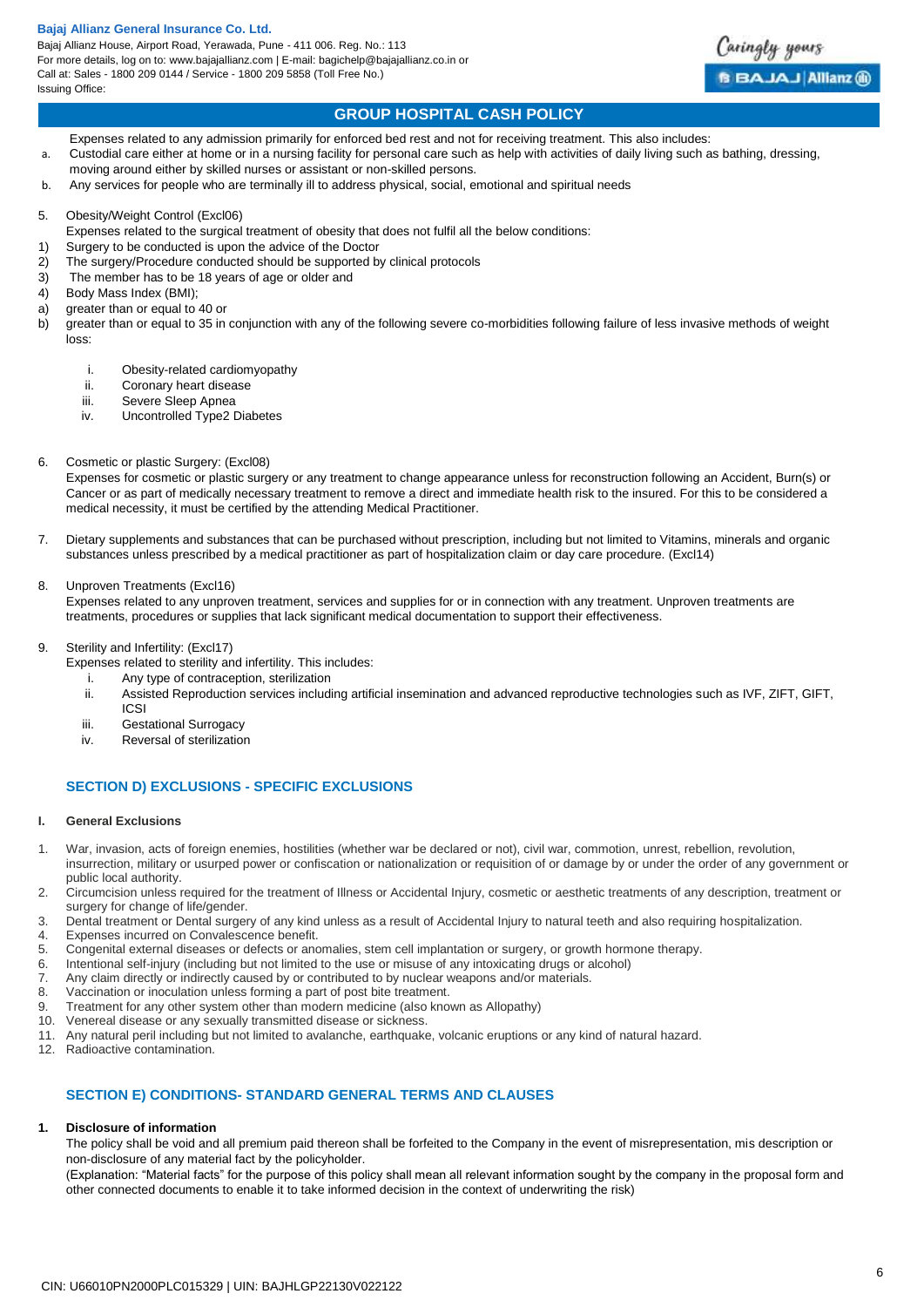Bajaj Allianz House, Airport Road, Yerawada, Pune - 411 006. Reg. No.: 113 For more details, log on to: www.bajajallianz.com | E-mail: bagichelp@bajajallianz.co.in or Call at: Sales - 1800 209 0144 / Service - 1800 209 5858 (Toll Free No.) Issuing Office:



# **GROUP HOSPITAL CASH POLICY**

- Expenses related to any admission primarily for enforced bed rest and not for receiving treatment. This also includes: a. Custodial care either at home or in a nursing facility for personal care such as help with activities of daily living such as bathing, dressing,
- moving around either by skilled nurses or assistant or non-skilled persons.
- b. Any services for people who are terminally ill to address physical, social, emotional and spiritual needs
- 5. Obesity/Weight Control (Excl06)
- Expenses related to the surgical treatment of obesity that does not fulfil all the below conditions:
- 1) Surgery to be conducted is upon the advice of the Doctor
- 2) The surgery/Procedure conducted should be supported by clinical protocols
- 3) The member has to be 18 years of age or older and
- 4) Body Mass Index (BMI);
- a) greater than or equal to 40 or
- b) greater than or equal to 35 in conjunction with any of the following severe co-morbidities following failure of less invasive methods of weight loss:
	- i. Obesity-related cardiomyopathy
	- ii. Coronary heart disease
	- iii. Severe Sleep Apnea
	- iv. Uncontrolled Type2 Diabetes
- 6. Cosmetic or plastic Surgery: (Excl08)

Expenses for cosmetic or plastic surgery or any treatment to change appearance unless for reconstruction following an Accident, Burn(s) or Cancer or as part of medically necessary treatment to remove a direct and immediate health risk to the insured. For this to be considered a medical necessity, it must be certified by the attending Medical Practitioner.

7. Dietary supplements and substances that can be purchased without prescription, including but not limited to Vitamins, minerals and organic substances unless prescribed by a medical practitioner as part of hospitalization claim or day care procedure. (Excl14)

8. Unproven Treatments (Excl16)

Expenses related to any unproven treatment, services and supplies for or in connection with any treatment. Unproven treatments are treatments, procedures or supplies that lack significant medical documentation to support their effectiveness.

9. Sterility and Infertility: (Excl17)

Expenses related to sterility and infertility. This includes:

- i. Any type of contraception, sterilization
- ii. Assisted Reproduction services including artificial insemination and advanced reproductive technologies such as IVF, ZIFT, GIFT,
- ICSI
- iii. Gestational Surrogacy
- iv. Reversal of sterilization

## **SECTION D) EXCLUSIONS - SPECIFIC EXCLUSIONS**

#### **I. General Exclusions**

- 1. War, invasion, acts of foreign enemies, hostilities (whether war be declared or not), civil war, commotion, unrest, rebellion, revolution, insurrection, military or usurped power or confiscation or nationalization or requisition of or damage by or under the order of any government or public local authority.
- 2. Circumcision unless required for the treatment of Illness or Accidental Injury, cosmetic or aesthetic treatments of any description, treatment or surgery for change of life/gender.
- 3. Dental treatment or Dental surgery of any kind unless as a result of Accidental Injury to natural teeth and also requiring hospitalization.
- 4. Expenses incurred on Convalescence benefit.
- 5. Congenital external diseases or defects or anomalies, stem cell implantation or surgery, or growth hormone therapy.
- 6. Intentional self-injury (including but not limited to the use or misuse of any intoxicating drugs or alcohol)
- 7. Any claim directly or indirectly caused by or contributed to by nuclear weapons and/or materials.<br>8. Vaccination or inoculation unless forming a part of post bite treatment.
- Vaccination or inoculation unless forming a part of post bite treatment.
- 9. Treatment for any other system other than modern medicine (also known as Allopathy)
- 10. Venereal disease or any sexually transmitted disease or sickness.
- 11. Any natural peril including but not limited to avalanche, earthquake, volcanic eruptions or any kind of natural hazard.
- 12. Radioactive contamination.

## **SECTION E) CONDITIONS- STANDARD GENERAL TERMS AND CLAUSES**

#### **1. Disclosure of information**

The policy shall be void and all premium paid thereon shall be forfeited to the Company in the event of misrepresentation, mis description or non-disclosure of any material fact by the policyholder.

(Explanation: "Material facts" for the purpose of this policy shall mean all relevant information sought by the company in the proposal form and other connected documents to enable it to take informed decision in the context of underwriting the risk)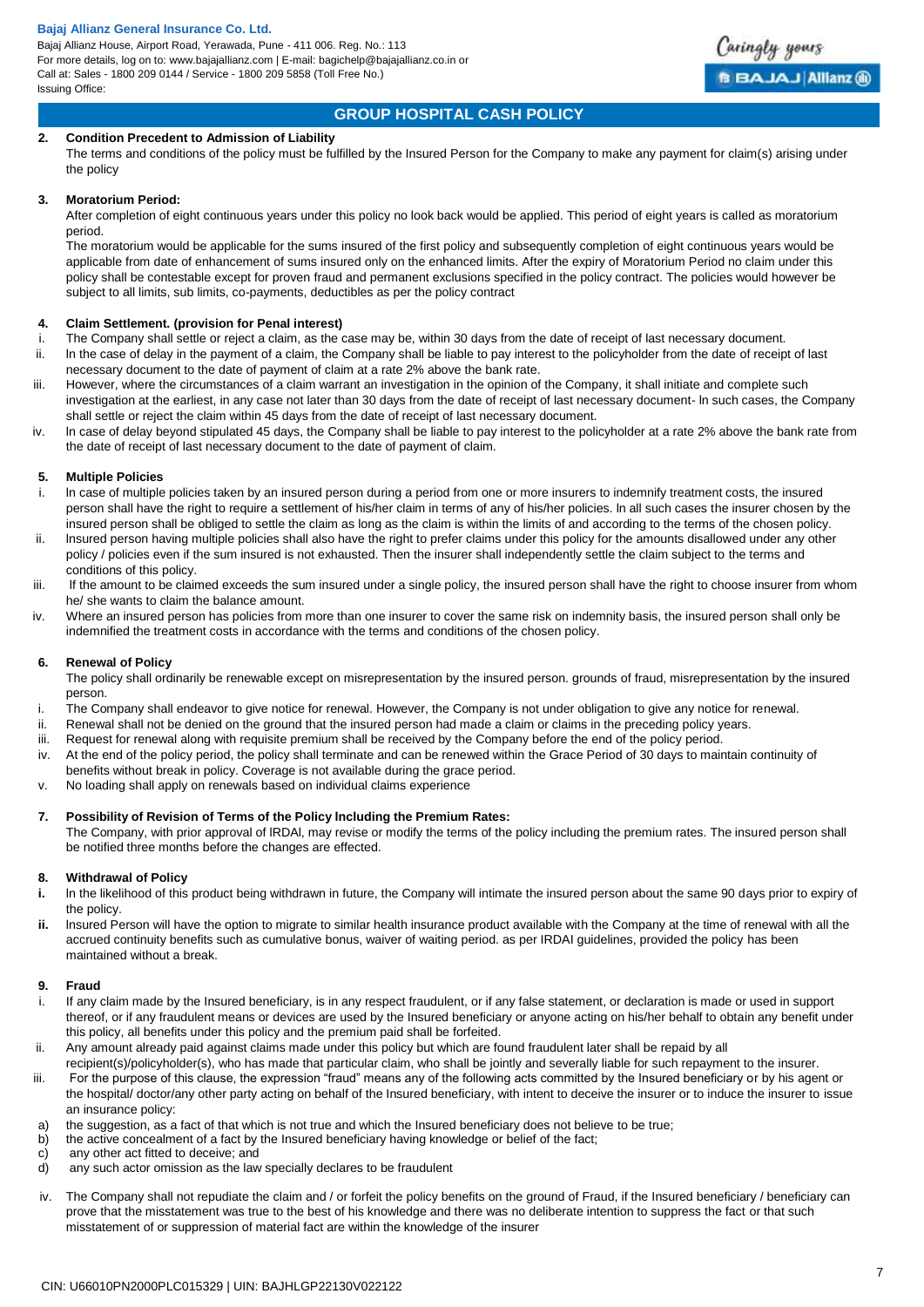

# **GROUP HOSPITAL CASH POLICY**

## **2. Condition Precedent to Admission of Liability**

The terms and conditions of the policy must be fulfilled by the Insured Person for the Company to make any payment for claim(s) arising under the policy

## **3. Moratorium Period:**

After completion of eight continuous years under this policy no look back would be applied. This period of eight years is called as moratorium period.

The moratorium would be applicable for the sums insured of the first policy and subsequently completion of eight continuous years would be applicable from date of enhancement of sums insured only on the enhanced limits. After the expiry of Moratorium Period no claim under this policy shall be contestable except for proven fraud and permanent exclusions specified in the policy contract. The policies would however be subject to all limits, sub limits, co-payments, deductibles as per the policy contract

## **4. Claim Settlement. (provision for Penal interest)**

- The Company shall settle or reject a claim, as the case may be, within 30 days from the date of receipt of last necessary document.
- ii. In the case of delay in the payment of a claim, the Company shall be liable to pay interest to the policyholder from the date of receipt of last necessary document to the date of payment of claim at a rate 2% above the bank rate.
- iii. However, where the circumstances of a claim warrant an investigation in the opinion of the Company, it shall initiate and complete such investigation at the earliest, in any case not later than 30 days from the date of receipt of last necessary document- ln such cases, the Company shall settle or reject the claim within 45 days from the date of receipt of last necessary document.
- iv. ln case of delay beyond stipulated 45 days, the Company shall be liable to pay interest to the policyholder at a rate 2% above the bank rate from the date of receipt of last necessary document to the date of payment of claim.

## **5. Multiple Policies**

- i. ln case of multiple policies taken by an insured person during a period from one or more insurers to indemnify treatment costs, the insured person shall have the right to require a settlement of his/her claim in terms of any of his/her policies. ln all such cases the insurer chosen by the insured person shall be obliged to settle the claim as long as the claim is within the limits of and according to the terms of the chosen policy.
- ii. lnsured person having multiple policies shall also have the right to prefer claims under this policy for the amounts disallowed under any other policy / policies even if the sum insured is not exhausted. Then the insurer shall independently settle the claim subject to the terms and conditions of this policy.
- iii. If the amount to be claimed exceeds the sum insured under a single policy, the insured person shall have the right to choose insurer from whom he/ she wants to claim the balance amount.
- iv. Where an insured person has policies from more than one insurer to cover the same risk on indemnity basis, the insured person shall only be indemnified the treatment costs in accordance with the terms and conditions of the chosen policy.

## **6. Renewal of Policy**

The policy shall ordinarily be renewable except on misrepresentation by the insured person. grounds of fraud, misrepresentation by the insured person.

- i. The Company shall endeavor to give notice for renewal. However, the Company is not under obligation to give any notice for renewal.
- ii. Renewal shall not be denied on the ground that the insured person had made a claim or claims in the preceding policy years.
- iii. Request for renewal along with requisite premium shall be received by the Company before the end of the policy period.
- iv. At the end of the policy period, the policy shall terminate and can be renewed within the Grace Period of 30 days to maintain continuity of benefits without break in policy. Coverage is not available during the grace period.
- v. No loading shall apply on renewals based on individual claims experience

## **7. Possibility of Revision of Terms of the Policy lncluding the Premium Rates:**

The Company, with prior approval of lRDAl, may revise or modify the terms of the policy including the premium rates. The insured person shall be notified three months before the changes are effected.

## **8. Withdrawal of Policy**

- **i.** ln the likelihood of this product being withdrawn in future, the Company will intimate the insured person about the same 90 days prior to expiry of the policy.
- **ii.** lnsured Person will have the option to migrate to similar health insurance product available with the Company at the time of renewal with all the accrued continuity benefits such as cumulative bonus, waiver of waiting period. as per IRDAI guidelines, provided the policy has been maintained without a break.

## **9. Fraud**

- If any claim made by the Insured beneficiary, is in any respect fraudulent, or if any false statement, or declaration is made or used in support thereof, or if any fraudulent means or devices are used by the Insured beneficiary or anyone acting on his/her behalf to obtain any benefit under this policy, all benefits under this policy and the premium paid shall be forfeited.
- ii. Any amount already paid against claims made under this policy but which are found fraudulent later shall be repaid by all
- recipient(s)/policyholder(s), who has made that particular claim, who shall be jointly and severally liable for such repayment to the insurer.
- iii. For the purpose of this clause, the expression "fraud" means any of the following acts committed by the Insured beneficiary or by his agent or the hospital/ doctor/any other party acting on behalf of the Insured beneficiary, with intent to deceive the insurer or to induce the insurer to issue an insurance policy:
- a) the suggestion, as a fact of that which is not true and which the Insured beneficiary does not believe to be true;
- b) the active concealment of a fact by the Insured beneficiary having knowledge or belief of the fact;
- c) any other act fitted to deceive; and
- d) any such actor omission as the law specially declares to be fraudulent
- iv. The Company shall not repudiate the claim and / or forfeit the policy benefits on the ground of Fraud, if the Insured beneficiary / beneficiary can prove that the misstatement was true to the best of his knowledge and there was no deliberate intention to suppress the fact or that such misstatement of or suppression of material fact are within the knowledge of the insurer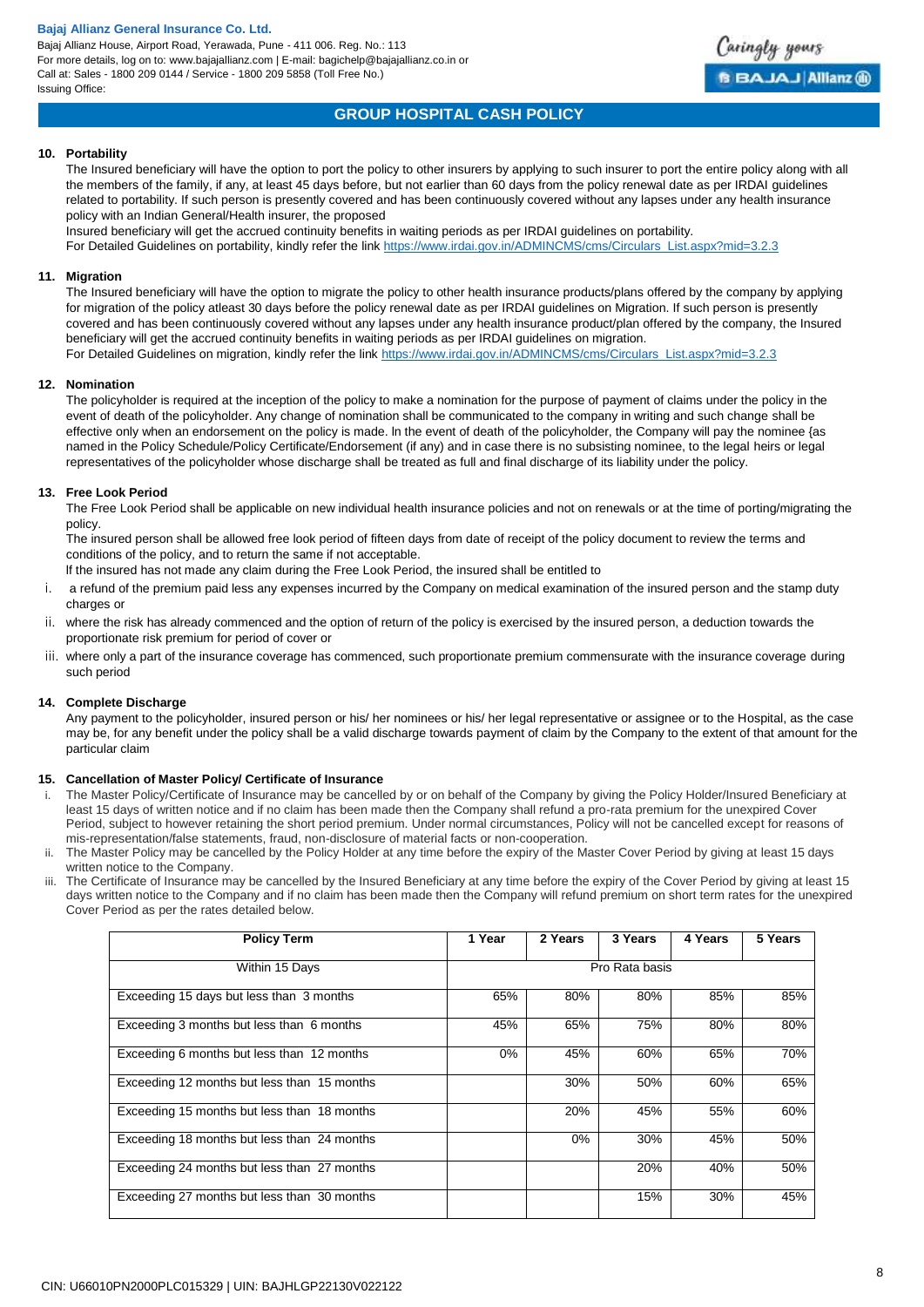Bajaj Allianz House, Airport Road, Yerawada, Pune - 411 006. Reg. No.: 113 For more details, log on to: www.bajajallianz.com | E-mail: bagichelp@bajajallianz.co.in or Call at: Sales - 1800 209 0144 / Service - 1800 209 5858 (Toll Free No.) Issuing Office:



# **GROUP HOSPITAL CASH POLICY**

## **10. Portability**

The Insured beneficiary will have the option to port the policy to other insurers by applying to such insurer to port the entire policy along with all the members of the family, if any, at least 45 days before, but not earlier than 60 days from the policy renewal date as per IRDAI guidelines related to portability. If such person is presently covered and has been continuously covered without any lapses under any health insurance policy with an Indian General/Health insurer, the proposed

Insured beneficiary will get the accrued continuity benefits in waiting periods as per IRDAI guidelines on portability. For Detailed Guidelines on portability, kindly refer the lin[k https://www.irdai.gov.in/ADMINCMS/cms/Circulars\\_List.aspx?mid=3.2.3](https://www.irdai.gov.in/ADMINCMS/cms/Circulars_List.aspx?mid=3.2.3)

## **11. Migration**

The Insured beneficiary will have the option to migrate the policy to other health insurance products/plans offered by the company by applying for migration of the policy atleast 30 days before the policy renewal date as per IRDAI guidelines on Migration. If such person is presently covered and has been continuously covered without any lapses under any health insurance product/plan offered by the company, the Insured beneficiary will get the accrued continuity benefits in waiting periods as per IRDAI guidelines on migration. For Detailed Guidelines on migration, kindly refer the link [https://www.irdai.gov.in/ADMINCMS/cms/Circulars\\_List.aspx?mid=3.2.3](https://www.irdai.gov.in/ADMINCMS/cms/Circulars_List.aspx?mid=3.2.3)

## **12. Nomination**

The policyholder is required at the inception of the policy to make a nomination for the purpose of payment of claims under the policy in the event of death of the policyholder. Any change of nomination shall be communicated to the company in writing and such change shall be effective only when an endorsement on the policy is made. ln the event of death of the policyholder, the Company will pay the nominee {as named in the Policy Schedule/Policy Certificate/Endorsement (if any) and in case there is no subsisting nominee, to the legal heirs or legal representatives of the policyholder whose discharge shall be treated as full and final discharge of its liability under the policy.

## **13. Free Look Period**

The Free Look Period shall be applicable on new individual health insurance policies and not on renewals or at the time of porting/migrating the policy.

The insured person shall be allowed free look period of fifteen days from date of receipt of the policy document to review the terms and conditions of the policy, and to return the same if not acceptable.

lf the insured has not made any claim during the Free Look Period, the insured shall be entitled to

- i. a refund of the premium paid less any expenses incurred by the Company on medical examination of the insured person and the stamp duty charges or
- ii. where the risk has already commenced and the option of return of the policy is exercised by the insured person, a deduction towards the proportionate risk premium for period of cover or
- iii. where only a part of the insurance coverage has commenced, such proportionate premium commensurate with the insurance coverage during such period

## **14. Complete Discharge**

Any payment to the policyholder, insured person or his/ her nominees or his/ her legal representative or assignee or to the Hospital, as the case may be, for any benefit under the policy shall be a valid discharge towards payment of claim by the Company to the extent of that amount for the particular claim

## **15. Cancellation of Master Policy/ Certificate of Insurance**

- The Master Policy/Certificate of Insurance may be cancelled by or on behalf of the Company by giving the Policy Holder/Insured Beneficiary at least 15 days of written notice and if no claim has been made then the Company shall refund a pro-rata premium for the unexpired Cover Period, subject to however retaining the short period premium. Under normal circumstances, Policy will not be cancelled except for reasons of mis-representation/false statements, fraud, non-disclosure of material facts or non-cooperation.
- ii. The Master Policy may be cancelled by the Policy Holder at any time before the expiry of the Master Cover Period by giving at least 15 days written notice to the Company.
- iii. The Certificate of Insurance may be cancelled by the Insured Beneficiary at any time before the expiry of the Cover Period by giving at least 15 days written notice to the Company and if no claim has been made then the Company will refund premium on short term rates for the unexpired Cover Period as per the rates detailed below.

| <b>Policy Term</b>                          | 1 Year | 2 Years | 3 Years        | 4 Years | 5 Years |
|---------------------------------------------|--------|---------|----------------|---------|---------|
| Within 15 Days                              |        |         | Pro Rata basis |         |         |
| Exceeding 15 days but less than 3 months    | 65%    | 80%     | 80%            | 85%     | 85%     |
| Exceeding 3 months but less than 6 months   | 45%    | 65%     | 75%            | 80%     | 80%     |
| Exceeding 6 months but less than 12 months  | $0\%$  | 45%     | 60%            | 65%     | 70%     |
| Exceeding 12 months but less than 15 months |        | 30%     | 50%            | 60%     | 65%     |
| Exceeding 15 months but less than 18 months |        | 20%     | 45%            | 55%     | 60%     |
| Exceeding 18 months but less than 24 months |        | $0\%$   | 30%            | 45%     | 50%     |
| Exceeding 24 months but less than 27 months |        |         | 20%            | 40%     | 50%     |
| Exceeding 27 months but less than 30 months |        |         | 15%            | 30%     | 45%     |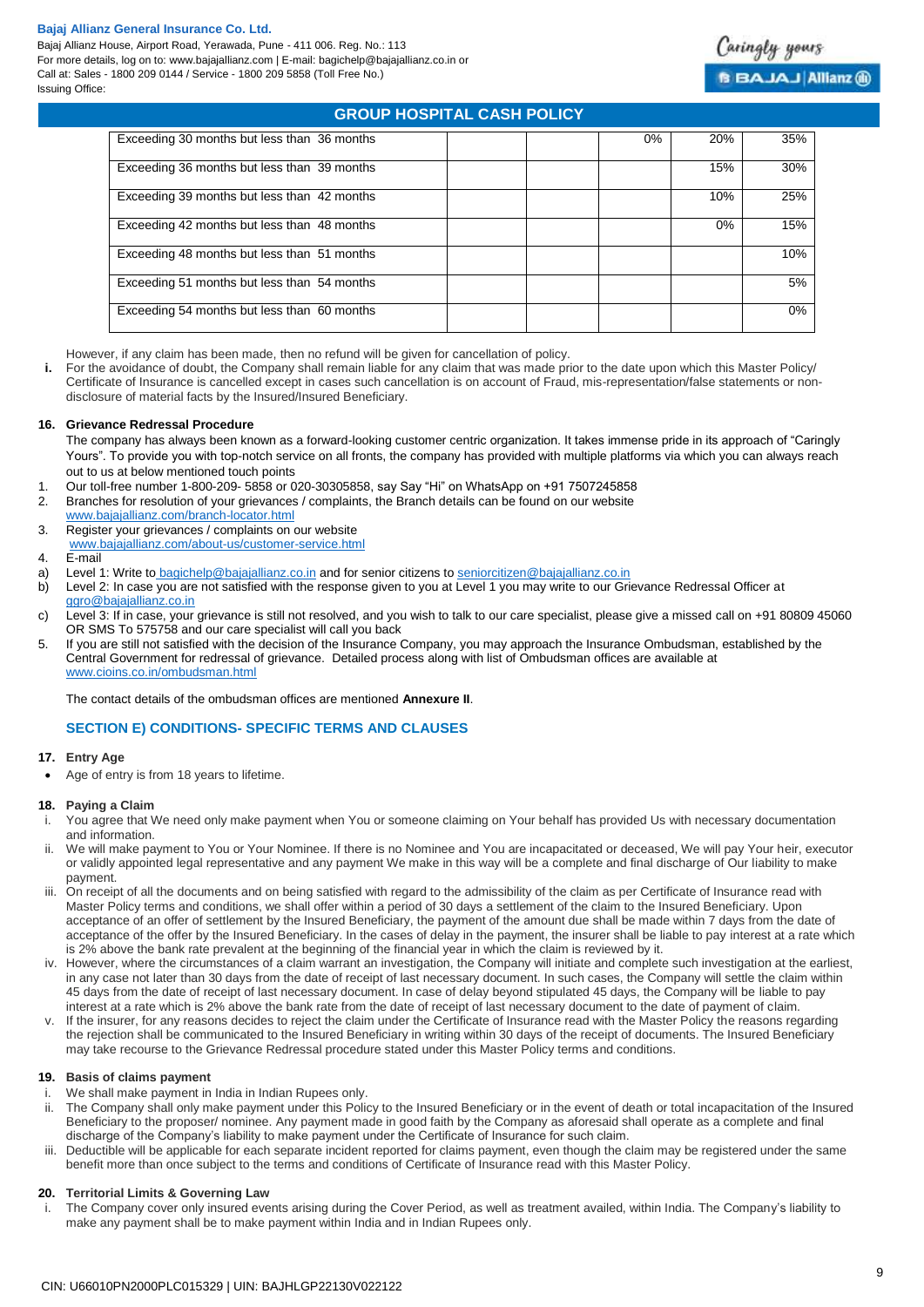Bajaj Allianz House, Airport Road, Yerawada, Pune - 411 006. Reg. No.: 113 For more details, log on to: www.bajajallianz.com | E-mail: bagichelp@bajajallianz.co.in or Call at: Sales - 1800 209 0144 / Service - 1800 209 5858 (Toll Free No.) Issuing Office:

# **GROUP HOSPITAL CASH POLICY**

| Exceeding 30 months but less than 36 months | 0% | 20% | 35% |
|---------------------------------------------|----|-----|-----|
| Exceeding 36 months but less than 39 months |    | 15% | 30% |
| Exceeding 39 months but less than 42 months |    | 10% | 25% |
| Exceeding 42 months but less than 48 months |    | 0%  | 15% |
| Exceeding 48 months but less than 51 months |    |     | 10% |
| Exceeding 51 months but less than 54 months |    |     | 5%  |
| Exceeding 54 months but less than 60 months |    |     | 0%  |

However, if any claim has been made, then no refund will be given for cancellation of policy.

**i.** For the avoidance of doubt, the Company shall remain liable for any claim that was made prior to the date upon which this Master Policy/ Certificate of Insurance is cancelled except in cases such cancellation is on account of Fraud, mis-representation/false statements or nondisclosure of material facts by the Insured/Insured Beneficiary.

### **16. Grievance Redressal Procedure**

- The company has always been known as a forward-looking customer centric organization. It takes immense pride in its approach of "Caringly Yours". To provide you with top-notch service on all fronts, the company has provided with multiple platforms via which you can always reach out to us at below mentioned touch points
- 1. Our toll-free number 1-800-209- 5858 or 020-30305858, say Say "Hi" on WhatsApp on +91 7507245858
- Branches for resolution of your grievances / complaints, the Branch details can be found on our website
- [www.bajajallianz.com/branch-locator.html](http://www.bajajallianz.com/branch-locator.html)
- 3. Register your grievances / complaints on our website
- [www.bajajallianz.com/about-us/customer-service.html](http://www.bajajallianz.com/about-us/customer-service.html)
- 4. E-mail
- a) Level 1: Write to [bagichelp@bajajallianz.co.in](mailto:bagichelp@bajajallianz.co.in) and for senior citizens to [seniorcitizen@bajajallianz.co.in](mailto:seniorcitizen@bajajallianz.co.in)
- b) Level 2: In case you are not satisfied with the response given to you at Level 1 you may write to our Grievance Redressal Officer at [ggro@bajajallianz.co.in](mailto:ggro@bajajallianz.co.in)
- c) Level 3: If in case, your grievance is still not resolved, and you wish to talk to our care specialist, please give a missed call on +91 80809 45060 OR SMS To 575758 and our care specialist will call you back
- 5. If you are still not satisfied with the decision of the Insurance Company, you may approach the Insurance Ombudsman, established by the Central Government for redressal of grievance. Detailed process along with list of Ombudsman offices are available at [www.cioins.co.in/ombudsman.html](http://www.cioins.co.in/ombudsman.html)

The contact details of the ombudsman offices are mentioned **Annexure II**.

# **SECTION E) CONDITIONS- SPECIFIC TERMS AND CLAUSES**

## **17. Entry Age**

Age of entry is from 18 years to lifetime.

## **18. Paying a Claim**

- i. You agree that We need only make payment when You or someone claiming on Your behalf has provided Us with necessary documentation and information.
- We will make payment to You or Your Nominee. If there is no Nominee and You are incapacitated or deceased, We will pay Your heir, executor or validly appointed legal representative and any payment We make in this way will be a complete and final discharge of Our liability to make payment.
- iii. On receipt of all the documents and on being satisfied with regard to the admissibility of the claim as per Certificate of Insurance read with Master Policy terms and conditions, we shall offer within a period of 30 days a settlement of the claim to the Insured Beneficiary. Upon acceptance of an offer of settlement by the Insured Beneficiary, the payment of the amount due shall be made within 7 days from the date of acceptance of the offer by the Insured Beneficiary. In the cases of delay in the payment, the insurer shall be liable to pay interest at a rate which is 2% above the bank rate prevalent at the beginning of the financial year in which the claim is reviewed by it.
- iv. However, where the circumstances of a claim warrant an investigation, the Company will initiate and complete such investigation at the earliest, in any case not later than 30 days from the date of receipt of last necessary document. In such cases, the Company will settle the claim within 45 days from the date of receipt of last necessary document. In case of delay beyond stipulated 45 days, the Company will be liable to pay interest at a rate which is 2% above the bank rate from the date of receipt of last necessary document to the date of payment of claim.
- v. If the insurer, for any reasons decides to reject the claim under the Certificate of Insurance read with the Master Policy the reasons regarding the rejection shall be communicated to the Insured Beneficiary in writing within 30 days of the receipt of documents. The Insured Beneficiary may take recourse to the Grievance Redressal procedure stated under this Master Policy terms and conditions.

## **19. Basis of claims payment**

- i. We shall make payment in India in Indian Rupees only.<br>ii The Company shall only make payment under this Polic
- ii. The Company shall only make payment under this Policy to the Insured Beneficiary or in the event of death or total incapacitation of the Insured Beneficiary to the proposer/ nominee. Any payment made in good faith by the Company as aforesaid shall operate as a complete and final discharge of the Company's liability to make payment under the Certificate of Insurance for such claim.
- iii. Deductible will be applicable for each separate incident reported for claims payment, even though the claim may be registered under the same benefit more than once subject to the terms and conditions of Certificate of Insurance read with this Master Policy.

## **20. Territorial Limits & Governing Law**

i. The Company cover only insured events arising during the Cover Period, as well as treatment availed, within India. The Company's liability to make any payment shall be to make payment within India and in Indian Rupees only.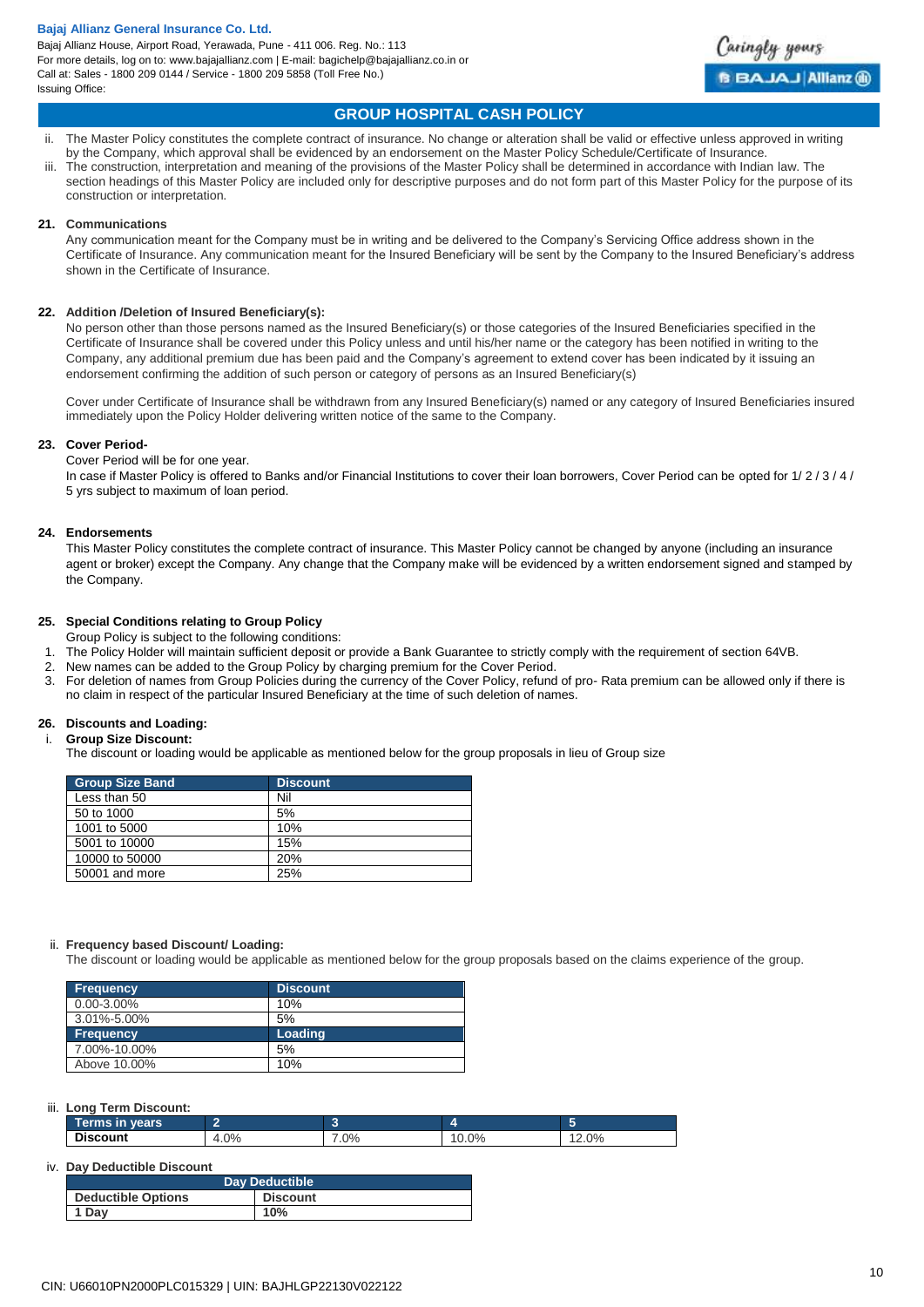

# **GROUP HOSPITAL CASH POLICY**

- ii. The Master Policy constitutes the complete contract of insurance. No change or alteration shall be valid or effective unless approved in writing by the Company, which approval shall be evidenced by an endorsement on the Master Policy Schedule/Certificate of Insurance.
- The construction, interpretation and meaning of the provisions of the Master Policy shall be determined in accordance with Indian law. The section headings of this Master Policy are included only for descriptive purposes and do not form part of this Master Policy for the purpose of its construction or interpretation.

## **21. Communications**

Any communication meant for the Company must be in writing and be delivered to the Company's Servicing Office address shown in the Certificate of Insurance. Any communication meant for the Insured Beneficiary will be sent by the Company to the Insured Beneficiary's address shown in the Certificate of Insurance.

## **22. Addition /Deletion of Insured Beneficiary(s):**

No person other than those persons named as the Insured Beneficiary(s) or those categories of the Insured Beneficiaries specified in the Certificate of Insurance shall be covered under this Policy unless and until his/her name or the category has been notified in writing to the Company, any additional premium due has been paid and the Company's agreement to extend cover has been indicated by it issuing an endorsement confirming the addition of such person or category of persons as an Insured Beneficiary(s)

Cover under Certificate of Insurance shall be withdrawn from any Insured Beneficiary(s) named or any category of Insured Beneficiaries insured immediately upon the Policy Holder delivering written notice of the same to the Company.

## **23. Cover Period-**

Cover Period will be for one year.

In case if Master Policy is offered to Banks and/or Financial Institutions to cover their loan borrowers, Cover Period can be opted for 1/ 2 / 3 / 4 / 5 yrs subject to maximum of loan period.

## **24. Endorsements**

This Master Policy constitutes the complete contract of insurance. This Master Policy cannot be changed by anyone (including an insurance agent or broker) except the Company. Any change that the Company make will be evidenced by a written endorsement signed and stamped by the Company.

## **25. Special Conditions relating to Group Policy**

Group Policy is subject to the following conditions:

- 1. The Policy Holder will maintain sufficient deposit or provide a Bank Guarantee to strictly comply with the requirement of section 64VB.
- 2. New names can be added to the Group Policy by charging premium for the Cover Period.
- 3. For deletion of names from Group Policies during the currency of the Cover Policy, refund of pro- Rata premium can be allowed only if there is no claim in respect of the particular Insured Beneficiary at the time of such deletion of names.

## **26. Discounts and Loading:**

i. **Group Size Discount:**

The discount or loading would be applicable as mentioned below for the group proposals in lieu of Group size

| <b>Group Size Band</b> | <b>Discount</b> |
|------------------------|-----------------|
| Less than 50           | Nil             |
| 50 to 1000             | 5%              |
| 1001 to 5000           | 10%             |
| 5001 to 10000          | 15%             |
| 10000 to 50000         | 20%             |
| 50001 and more         | 25%             |

## ii. **Frequency based Discount/ Loading:**

The discount or loading would be applicable as mentioned below for the group proposals based on the claims experience of the group.

| <b>Frequency</b> | <b>Discount</b> |
|------------------|-----------------|
| $0.00 - 3.00\%$  | 10%             |
| 3.01%-5.00%      | 5%              |
| <b>Frequency</b> | Loading         |
| 7.00%-10.00%     | 5%              |
| Above 10.00%     | 10%             |

## iii. **Long Term Discount:**

| vears<br><br>erms |     |        |       |                    |
|-------------------|-----|--------|-------|--------------------|
| <b>Discount</b>   | 0%، | $.0\%$ | 10.0% | 2.0%<br>$\sqrt{2}$ |

## iv. **Day Deductible Discount**

| <b>Day Deductible</b>     |                 |  |
|---------------------------|-----------------|--|
| <b>Deductible Options</b> | <b>Discount</b> |  |
| 1 Day                     | 10%             |  |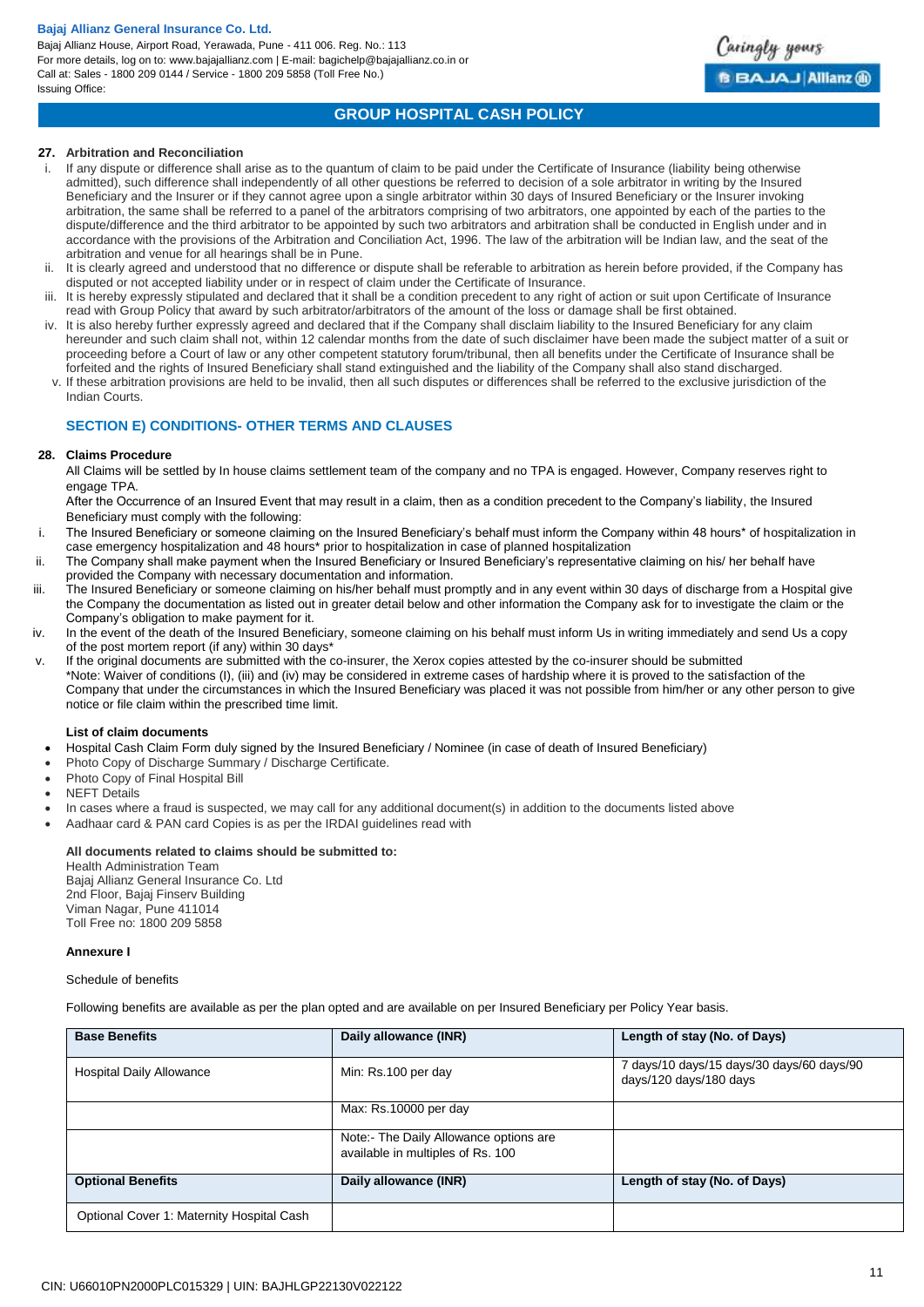Bajaj Allianz House, Airport Road, Yerawada, Pune - 411 006. Reg. No.: 113 For more details, log on to: www.bajajallianz.com | E-mail: bagichelp@bajajallianz.co.in or Call at: Sales - 1800 209 0144 / Service - 1800 209 5858 (Toll Free No.) Issuing Office:



# **GROUP HOSPITAL CASH POLICY**

## **27. Arbitration and Reconciliation**

- If any dispute or difference shall arise as to the quantum of claim to be paid under the Certificate of Insurance (liability being otherwise admitted), such difference shall independently of all other questions be referred to decision of a sole arbitrator in writing by the Insured Beneficiary and the Insurer or if they cannot agree upon a single arbitrator within 30 days of Insured Beneficiary or the Insurer invoking arbitration, the same shall be referred to a panel of the arbitrators comprising of two arbitrators, one appointed by each of the parties to the dispute/difference and the third arbitrator to be appointed by such two arbitrators and arbitration shall be conducted in English under and in accordance with the provisions of the Arbitration and Conciliation Act, 1996. The law of the arbitration will be Indian law, and the seat of the arbitration and venue for all hearings shall be in Pune.
- ii. It is clearly agreed and understood that no difference or dispute shall be referable to arbitration as herein before provided, if the Company has disputed or not accepted liability under or in respect of claim under the Certificate of Insurance.
- iii. It is hereby expressly stipulated and declared that it shall be a condition precedent to any right of action or suit upon Certificate of Insurance read with Group Policy that award by such arbitrator/arbitrators of the amount of the loss or damage shall be first obtained.
- iv. It is also hereby further expressly agreed and declared that if the Company shall disclaim liability to the Insured Beneficiary for any claim hereunder and such claim shall not, within 12 calendar months from the date of such disclaimer have been made the subject matter of a suit or proceeding before a Court of law or any other competent statutory forum/tribunal, then all benefits under the Certificate of Insurance shall be forfeited and the rights of Insured Beneficiary shall stand extinguished and the liability of the Company shall also stand discharged.
- v. If these arbitration provisions are held to be invalid, then all such disputes or differences shall be referred to the exclusive jurisdiction of the Indian Courts.

## **SECTION E) CONDITIONS- OTHER TERMS AND CLAUSES**

## **28. Claims Procedure**

All Claims will be settled by In house claims settlement team of the company and no TPA is engaged. However, Company reserves right to engage TPA.

After the Occurrence of an Insured Event that may result in a claim, then as a condition precedent to the Company's liability, the Insured Beneficiary must comply with the following:

- i. The Insured Beneficiary or someone claiming on the Insured Beneficiary's behalf must inform the Company within 48 hours\* of hospitalization in case emergency hospitalization and 48 hours\* prior to hospitalization in case of planned hospitalization
- ii. The Company shall make payment when the Insured Beneficiary or Insured Beneficiary's representative claiming on his/ her behalf have provided the Company with necessary documentation and information.
- iii. The Insured Beneficiary or someone claiming on his/her behalf must promptly and in any event within 30 days of discharge from a Hospital give the Company the documentation as listed out in greater detail below and other information the Company ask for to investigate the claim or the Company's obligation to make payment for it.
- iv. In the event of the death of the Insured Beneficiary, someone claiming on his behalf must inform Us in writing immediately and send Us a copy of the post mortem report (if any) within 30 days\*
- v. If the original documents are submitted with the co-insurer, the Xerox copies attested by the co-insurer should be submitted \*Note: Waiver of conditions (I), (iii) and (iv) may be considered in extreme cases of hardship where it is proved to the satisfaction of the Company that under the circumstances in which the Insured Beneficiary was placed it was not possible from him/her or any other person to give notice or file claim within the prescribed time limit.

## **List of claim documents**

- Hospital Cash Claim Form duly signed by the Insured Beneficiary / Nominee (in case of death of Insured Beneficiary)
- Photo Copy of Discharge Summary / Discharge Certificate.
- Photo Copy of Final Hospital Bill
- NEFT Details
- In cases where a fraud is suspected, we may call for any additional document(s) in addition to the documents listed above
- Aadhaar card & PAN card Copies is as per the IRDAI guidelines read with

## **All documents related to claims should be submitted to:**

Health Administration Team Bajaj Allianz General Insurance Co. Ltd 2nd Floor, Bajaj Finserv Building Viman Nagar, Pune 411014 Toll Free no: 1800 209 5858

## **Annexure I**

Schedule of benefits

Following benefits are available as per the plan opted and are available on per Insured Beneficiary per Policy Year basis.

| <b>Base Benefits</b>                      | Daily allowance (INR)                                                       | Length of stay (No. of Days)                                        |
|-------------------------------------------|-----------------------------------------------------------------------------|---------------------------------------------------------------------|
| <b>Hospital Daily Allowance</b>           | Min: Rs.100 per day                                                         | 7 days/10 days/15 days/30 days/60 days/90<br>days/120 days/180 days |
|                                           | Max: Rs.10000 per day                                                       |                                                                     |
|                                           | Note:- The Daily Allowance options are<br>available in multiples of Rs. 100 |                                                                     |
| <b>Optional Benefits</b>                  | Daily allowance (INR)                                                       | Length of stay (No. of Days)                                        |
| Optional Cover 1: Maternity Hospital Cash |                                                                             |                                                                     |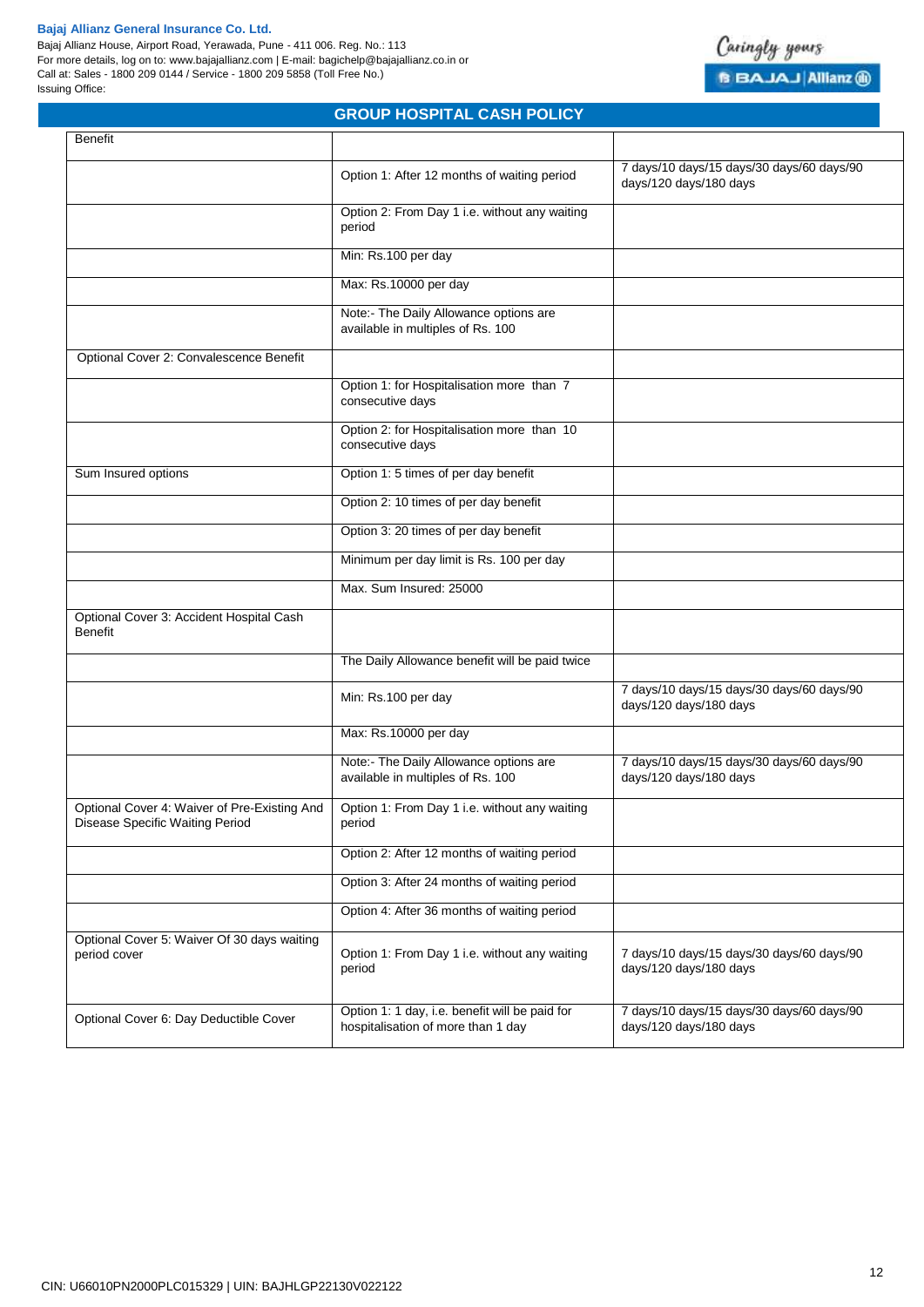Bajaj Allianz House, Airport Road, Yerawada, Pune - 411 006. Reg. No.: 113 For more details, log on to: www.bajajallianz.com | E-mail: bagichelp@bajajallianz.co.in or Call at: Sales - 1800 209 0144 / Service - 1800 209 5858 (Toll Free No.) Issuing Office:



|                                                                                 | <b>GROUP HOSPITAL CASH POLICY</b>                                                    |                                                                     |
|---------------------------------------------------------------------------------|--------------------------------------------------------------------------------------|---------------------------------------------------------------------|
| Benefit                                                                         |                                                                                      |                                                                     |
|                                                                                 | Option 1: After 12 months of waiting period                                          | 7 days/10 days/15 days/30 days/60 days/90<br>days/120 days/180 days |
|                                                                                 | Option 2: From Day 1 i.e. without any waiting<br>period                              |                                                                     |
|                                                                                 | Min: Rs.100 per day                                                                  |                                                                     |
|                                                                                 | Max: Rs.10000 per day                                                                |                                                                     |
|                                                                                 | Note:- The Daily Allowance options are<br>available in multiples of Rs. 100          |                                                                     |
| Optional Cover 2: Convalescence Benefit                                         |                                                                                      |                                                                     |
|                                                                                 | Option 1: for Hospitalisation more than 7<br>consecutive days                        |                                                                     |
|                                                                                 | Option 2: for Hospitalisation more than 10<br>consecutive days                       |                                                                     |
| Sum Insured options                                                             | Option 1: 5 times of per day benefit                                                 |                                                                     |
|                                                                                 | Option 2: 10 times of per day benefit                                                |                                                                     |
|                                                                                 | Option 3: 20 times of per day benefit                                                |                                                                     |
|                                                                                 | Minimum per day limit is Rs. 100 per day                                             |                                                                     |
|                                                                                 | Max. Sum Insured: 25000                                                              |                                                                     |
| Optional Cover 3: Accident Hospital Cash<br><b>Benefit</b>                      |                                                                                      |                                                                     |
|                                                                                 | The Daily Allowance benefit will be paid twice                                       |                                                                     |
|                                                                                 | Min: Rs.100 per day                                                                  | 7 days/10 days/15 days/30 days/60 days/90<br>days/120 days/180 days |
|                                                                                 | Max: Rs.10000 per day                                                                |                                                                     |
|                                                                                 | Note:- The Daily Allowance options are<br>available in multiples of Rs. 100          | 7 days/10 days/15 days/30 days/60 days/90<br>days/120 days/180 days |
| Optional Cover 4: Waiver of Pre-Existing And<br>Disease Specific Waiting Period | Option 1: From Day 1 i.e. without any waiting<br>period                              |                                                                     |
|                                                                                 | Option 2: After 12 months of waiting period                                          |                                                                     |
|                                                                                 | Option 3: After 24 months of waiting period                                          |                                                                     |
|                                                                                 | Option 4: After 36 months of waiting period                                          |                                                                     |
| Optional Cover 5: Waiver Of 30 days waiting<br>period cover                     | Option 1: From Day 1 i.e. without any waiting<br>period                              | 7 days/10 days/15 days/30 days/60 days/90<br>days/120 days/180 days |
| Optional Cover 6: Day Deductible Cover                                          | Option 1: 1 day, i.e. benefit will be paid for<br>hospitalisation of more than 1 day | 7 days/10 days/15 days/30 days/60 days/90<br>days/120 days/180 days |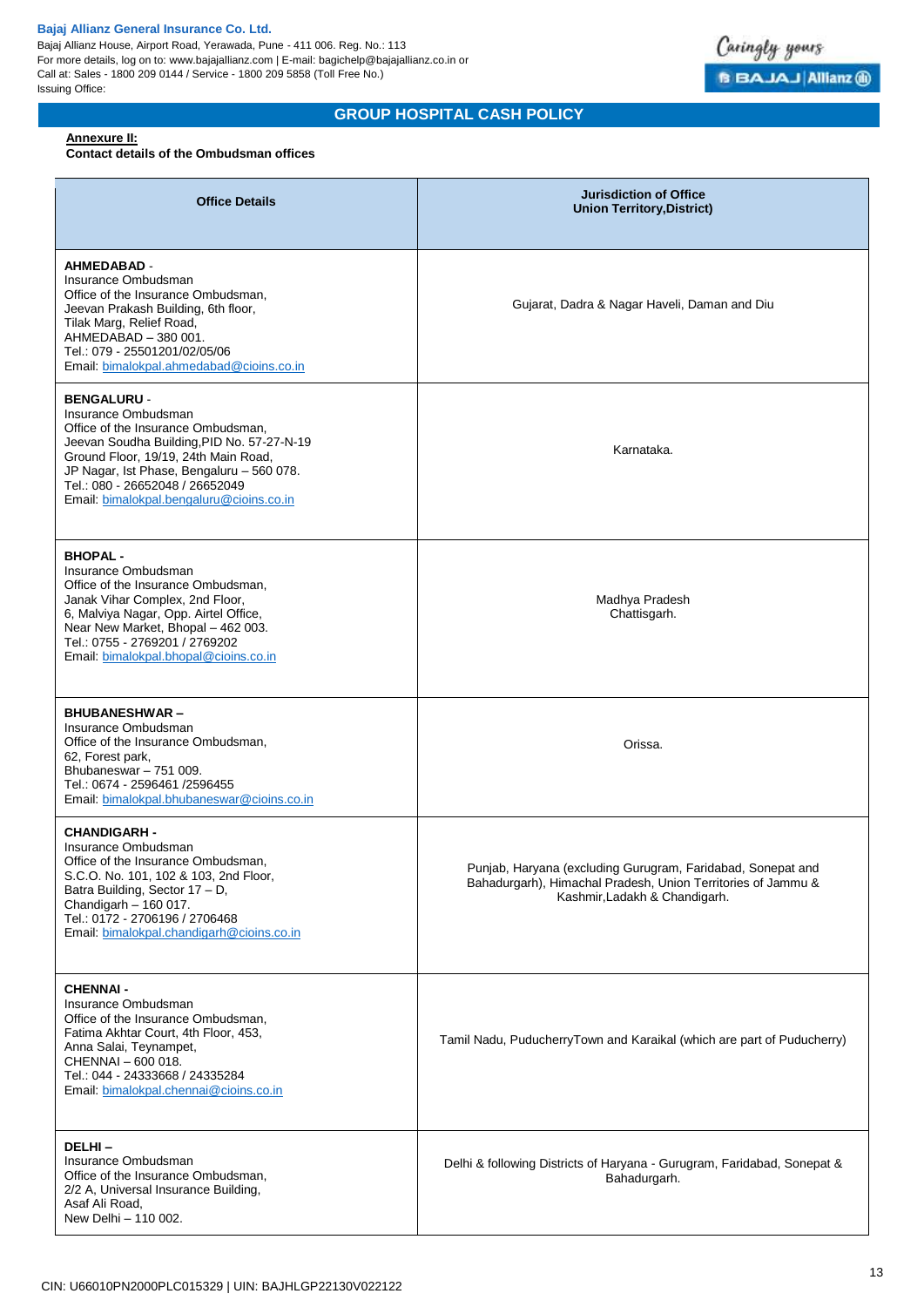Bajaj Allianz House, Airport Road, Yerawada, Pune - 411 006. Reg. No.: 113 For more details, log on to: www.bajajallianz.com | E-mail: bagichelp@bajajallianz.co.in or Call at: Sales - 1800 209 0144 / Service - 1800 209 5858 (Toll Free No.) Issuing Office:



# **GROUP HOSPITAL CASH POLICY**

## **Annexure II:**

## **Contact details of the Ombudsman offices**

| <b>Office Details</b>                                                                                                                                                                                                                                                                             | <b>Jurisdiction of Office</b><br><b>Union Territory, District)</b>                                                                                           |
|---------------------------------------------------------------------------------------------------------------------------------------------------------------------------------------------------------------------------------------------------------------------------------------------------|--------------------------------------------------------------------------------------------------------------------------------------------------------------|
| <b>AHMEDABAD -</b><br>Insurance Ombudsman<br>Office of the Insurance Ombudsman,<br>Jeevan Prakash Building, 6th floor,<br>Tilak Marg, Relief Road,<br>AHMEDABAD - 380 001.<br>Tel.: 079 - 25501201/02/05/06<br>Email: bimalokpal.ahmedabad@cioins.co.in                                           | Gujarat, Dadra & Nagar Haveli, Daman and Diu                                                                                                                 |
| <b>BENGALURU -</b><br>Insurance Ombudsman<br>Office of the Insurance Ombudsman,<br>Jeevan Soudha Building, PID No. 57-27-N-19<br>Ground Floor, 19/19, 24th Main Road,<br>JP Nagar, Ist Phase, Bengaluru - 560 078.<br>Tel.: 080 - 26652048 / 26652049<br>Email: bimalokpal.bengaluru@cioins.co.in | Karnataka.                                                                                                                                                   |
| <b>BHOPAL-</b><br>Insurance Ombudsman<br>Office of the Insurance Ombudsman,<br>Janak Vihar Complex, 2nd Floor,<br>6, Malviya Nagar, Opp. Airtel Office,<br>Near New Market, Bhopal - 462 003.<br>Tel.: 0755 - 2769201 / 2769202<br>Email: bimalokpal.bhopal@cioins.co.in                          | Madhya Pradesh<br>Chattisgarh.                                                                                                                               |
| <b>BHUBANESHWAR-</b><br>Insurance Ombudsman<br>Office of the Insurance Ombudsman,<br>62, Forest park,<br>Bhubaneswar - 751 009.<br>Tel.: 0674 - 2596461 /2596455<br>Email: bimalokpal.bhubaneswar@cioins.co.in                                                                                    | Orissa.                                                                                                                                                      |
| <b>CHANDIGARH -</b><br>Insurance Ombudsman<br>Office of the Insurance Ombudsman,<br>S.C.O. No. 101, 102 & 103, 2nd Floor,<br>Batra Building, Sector 17 - D,<br>Chandigarh $-160017$ .<br>Tel.: 0172 - 2706196 / 2706468<br>Email: bimalokpal.chandigarh@cioins.co.in                              | Punjab, Haryana (excluding Gurugram, Faridabad, Sonepat and<br>Bahadurgarh), Himachal Pradesh, Union Territories of Jammu &<br>Kashmir, Ladakh & Chandigarh. |
| <b>CHENNAI-</b><br>Insurance Ombudsman<br>Office of the Insurance Ombudsman,<br>Fatima Akhtar Court, 4th Floor, 453,<br>Anna Salai, Teynampet,<br>CHENNAI - 600 018.<br>Tel.: 044 - 24333668 / 24335284<br>Email: bimalokpal.chennai@cioins.co.in                                                 | Tamil Nadu, PuducherryTown and Karaikal (which are part of Puducherry)                                                                                       |
| DELHI-<br>Insurance Ombudsman<br>Office of the Insurance Ombudsman,<br>2/2 A, Universal Insurance Building,<br>Asaf Ali Road,<br>New Delhi - 110 002.                                                                                                                                             | Delhi & following Districts of Haryana - Gurugram, Faridabad, Sonepat &<br>Bahadurgarh.                                                                      |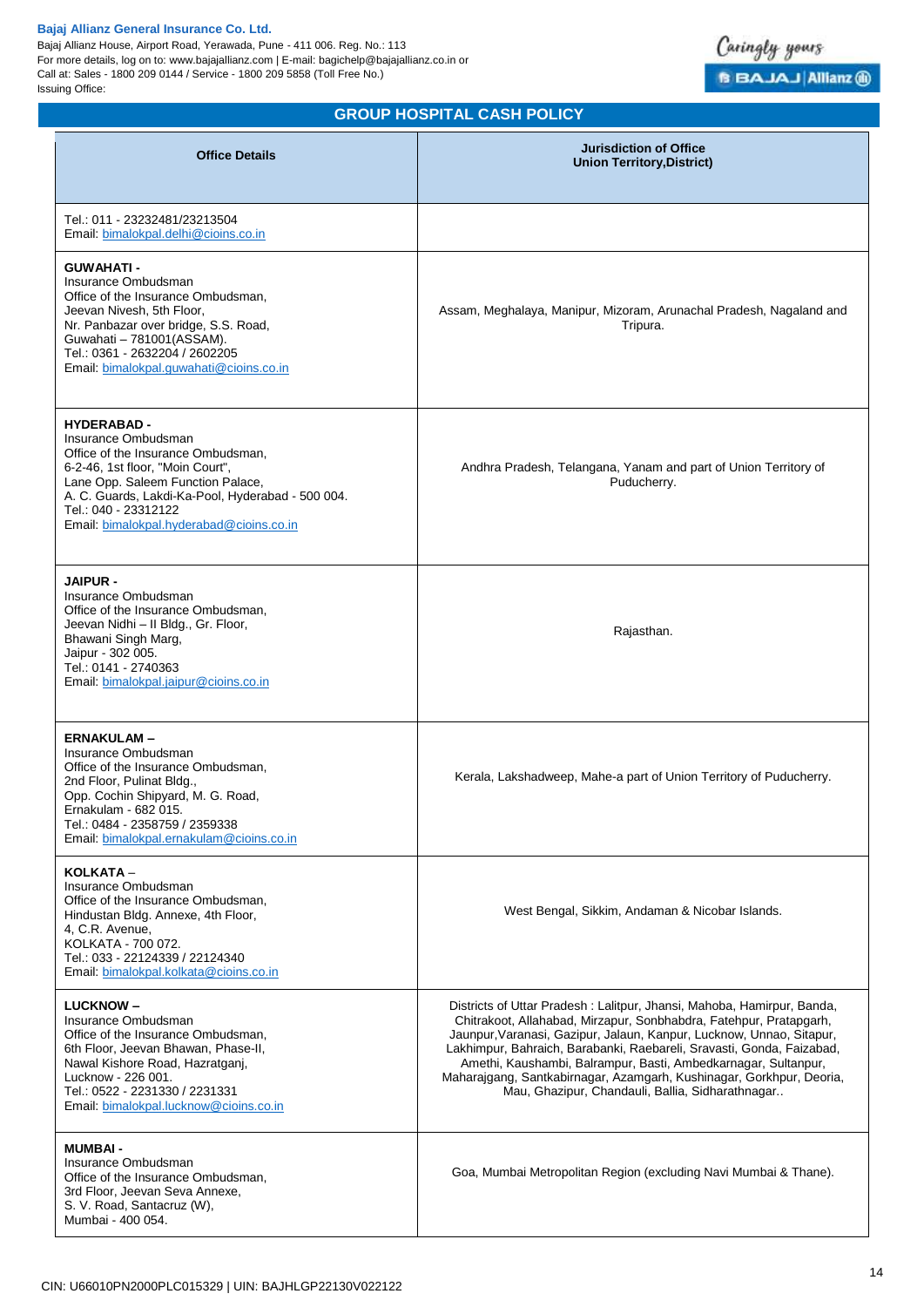Bajaj Allianz House, Airport Road, Yerawada, Pune - 411 006. Reg. No.: 113 For more details, log on to: www.bajajallianz.com | E-mail: bagichelp@bajajallianz.co.in or Call at: Sales - 1800 209 0144 / Service - 1800 209 5858 (Toll Free No.) Issuing Office:



# **GROUP HOSPITAL CASH POLICY**

| <b>Office Details</b>                                                                                                                                                                                                                                                            | <b>Jurisdiction of Office</b><br><b>Union Territory, District)</b>                                                                                                                                                                                                                                                                                                                                                                                                                          |
|----------------------------------------------------------------------------------------------------------------------------------------------------------------------------------------------------------------------------------------------------------------------------------|---------------------------------------------------------------------------------------------------------------------------------------------------------------------------------------------------------------------------------------------------------------------------------------------------------------------------------------------------------------------------------------------------------------------------------------------------------------------------------------------|
| Tel.: 011 - 23232481/23213504<br>Email: bimalokpal.delhi@cioins.co.in                                                                                                                                                                                                            |                                                                                                                                                                                                                                                                                                                                                                                                                                                                                             |
| <b>GUWAHATI-</b><br>Insurance Ombudsman<br>Office of the Insurance Ombudsman.<br>Jeevan Nivesh, 5th Floor,<br>Nr. Panbazar over bridge, S.S. Road,<br>Guwahati - 781001(ASSAM).<br>Tel.: 0361 - 2632204 / 2602205<br>Email: bimalokpal.guwahati@cioins.co.in                     | Assam, Meghalaya, Manipur, Mizoram, Arunachal Pradesh, Nagaland and<br>Tripura.                                                                                                                                                                                                                                                                                                                                                                                                             |
| <b>HYDERABAD-</b><br>Insurance Ombudsman<br>Office of the Insurance Ombudsman,<br>6-2-46, 1st floor, "Moin Court",<br>Lane Opp. Saleem Function Palace,<br>A. C. Guards, Lakdi-Ka-Pool, Hyderabad - 500 004.<br>Tel.: 040 - 23312122<br>Email: bimalokpal.hyderabad@cioins.co.in | Andhra Pradesh, Telangana, Yanam and part of Union Territory of<br>Puducherry.                                                                                                                                                                                                                                                                                                                                                                                                              |
| <b>JAIPUR -</b><br>Insurance Ombudsman<br>Office of the Insurance Ombudsman,<br>Jeevan Nidhi - II Bldg., Gr. Floor,<br>Bhawani Singh Marg,<br>Jaipur - 302 005.<br>Tel.: 0141 - 2740363<br>Email: bimalokpal.jaipur@cioins.co.in                                                 | Rajasthan.                                                                                                                                                                                                                                                                                                                                                                                                                                                                                  |
| <b>ERNAKULAM-</b><br>Insurance Ombudsman<br>Office of the Insurance Ombudsman,<br>2nd Floor, Pulinat Bldg.,<br>Opp. Cochin Shipyard, M. G. Road,<br>Ernakulam - 682 015.<br>Tel.: 0484 - 2358759 / 2359338<br>Email: bimalokpal.ernakulam@cioins.co.in                           | Kerala, Lakshadweep, Mahe-a part of Union Territory of Puducherry.                                                                                                                                                                                                                                                                                                                                                                                                                          |
| KOLKATA -<br>Insurance Ombudsman<br>Office of the Insurance Ombudsman,<br>Hindustan Bldg. Annexe, 4th Floor,<br>4, C.R. Avenue,<br>KOLKATA - 700 072.<br>Tel.: 033 - 22124339 / 22124340<br>Email: bimalokpal.kolkata@cioins.co.in                                               | West Bengal, Sikkim, Andaman & Nicobar Islands.                                                                                                                                                                                                                                                                                                                                                                                                                                             |
| <b>LUCKNOW-</b><br>Insurance Ombudsman<br>Office of the Insurance Ombudsman,<br>6th Floor, Jeevan Bhawan, Phase-II,<br>Nawal Kishore Road, Hazratganj,<br>Lucknow - 226 001.<br>Tel.: 0522 - 2231330 / 2231331<br>Email: bimalokpal.lucknow@cioins.co.in                         | Districts of Uttar Pradesh: Lalitpur, Jhansi, Mahoba, Hamirpur, Banda,<br>Chitrakoot, Allahabad, Mirzapur, Sonbhabdra, Fatehpur, Pratapgarh,<br>Jaunpur, Varanasi, Gazipur, Jalaun, Kanpur, Lucknow, Unnao, Sitapur,<br>Lakhimpur, Bahraich, Barabanki, Raebareli, Sravasti, Gonda, Faizabad,<br>Amethi, Kaushambi, Balrampur, Basti, Ambedkarnagar, Sultanpur,<br>Maharajgang, Santkabirnagar, Azamgarh, Kushinagar, Gorkhpur, Deoria,<br>Mau, Ghazipur, Chandauli, Ballia, Sidharathnagar |
| <b>MUMBAI-</b><br>Insurance Ombudsman<br>Office of the Insurance Ombudsman,<br>3rd Floor, Jeevan Seva Annexe,<br>S. V. Road, Santacruz (W),<br>Mumbai - 400 054.                                                                                                                 | Goa, Mumbai Metropolitan Region (excluding Navi Mumbai & Thane).                                                                                                                                                                                                                                                                                                                                                                                                                            |